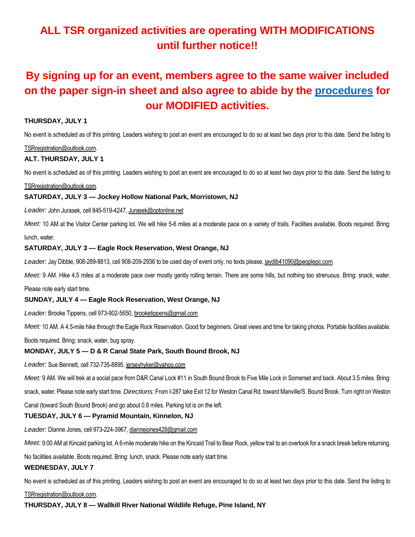# **ALL TSR organized activities are operating WITH MODIFICATIONS until further notice!!**

# **By signing up for an event, members agree to the same waiver included on the paper sign-in sheet and also agree to abide by the [procedures](https://5a563b5d-c9a2-443f-a97b-1fb65c38494e.usrfiles.com/ugd/5a563b_117d15c7ddb94dd7b01d342d48ba8484.pdf) for our MODIFIED activities.**

# **THURSDAY, JULY 1**

No event is scheduled as of this printing. Leaders wishing to post an event are encouraged to do so at least two days prior to this date. Send the listing to

#### TSRregistration@outlook.com.

# **ALT. THURSDAY, JULY 1**

No event is scheduled as of this printing. Leaders wishing to post an event are encouraged to do so at least two days prior to this date. Send the listing to

# TSRregistration@outlook.com.

# **SATURDAY, JULY 3 — Jockey Hollow National Park, Morristown, NJ**

#### *Leader:* John Jurasek, cell 845-519-4247, Jurasek@optonline.net

Meet: 10 AM at the Visitor Center parking lot. We will hike 5-6 miles at a moderate pace on a variety of trails. Facilities available. Boots required. Bring: lunch, water.

# **SATURDAY, JULY 3 — Eagle Rock Reservation, West Orange, NJ**

*Leader:* Jay Dibble, 908-289-8813, cell 908-209-2936 to be used day of event only, no texts please, jaydib41090@peoplepc.com

Meet: 9 AM. Hike 4.5 miles at a moderate pace over mostly gently rolling terrain. There are some hills, but nothing too strenuous. Bring: snack, water.

Please note early start time.

# **SUNDAY, JULY 4 — Eagle Rock Reservation, West Orange, NJ**

*Leader:* Brooke Tippens, cell 973-902-5650, brooketippens@gmail.com

*Meet:* 10 AM. A 4.5-mile hike through the Eagle Rock Reservation. Good for beginners. Great views and time for taking photos. Portable facilities available.

Boots required. Bring: snack, water, bug spray.

#### **MONDAY, JULY 5 — D & R Canal State Park, South Bound Brook, NJ**

*Leader:* Sue Bennett, cell 732-735-8895, jerseyhyker@yahoo.com

*Meet:* 9 AM. We will trek at a social pace from D&R Canal Lock #11 in South Bound Brook to Five Mile Lock in Somerset and back. About 3.5 miles. Bring:

snack, water. Please note early start time. *Directions:* From I-287 take Exit 12 for Weston Canal Rd. toward Manville/S. Bound Brook. Turn right on Weston

Canal (toward South Bound Brook) and go about 0.8 miles. Parking lot is on the left.

# **TUESDAY, JULY 6 — Pyramid Mountain, Kinnelon, NJ**

*Leader:* Dianne Jones, cell 973-224-3967, diannejones428@gmail.com

Meet: 9:00 AM at Kincaid parking lot. A 6-mile moderate hike on the Kincaid Trail to Bear Rock, yellow trail to an overlook for a snack break before returning.

No facilities available. Boots required. Bring: lunch, snack. Please note early start time.

#### **WEDNESDAY, JULY 7**

No event is scheduled as of this printing. Leaders wishing to post an event are encouraged to do so at least two days prior to this date. Send the listing to

TSRregistration@outlook.com.

**THURSDAY, JULY 8 — Wallkill River National Wildlife Refuge, Pine Island, NY**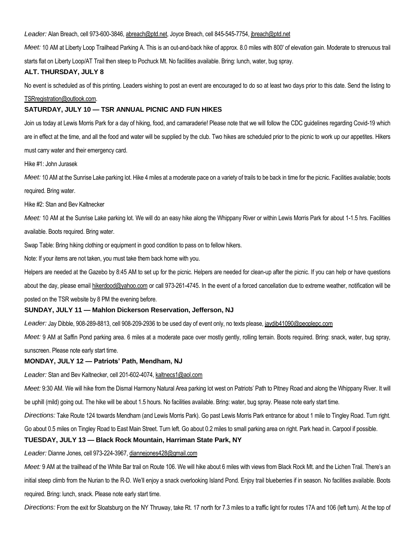*Leader:* Alan Breach, cell 973-600-3846, abreach@ptd.net, Joyce Breach, cell 845-545-7754, jbreach@ptd.net

*Meet:* 10 AM at Liberty Loop Trailhead Parking A. This is an out-and-back hike of approx. 8.0 miles with 800' of elevation gain. Moderate to strenuous trail starts flat on Liberty Loop/AT Trail then steep to Pochuck Mt. No facilities available. Bring: lunch, water, bug spray.

# **ALT. THURSDAY, JULY 8**

No event is scheduled as of this printing. Leaders wishing to post an event are encouraged to do so at least two days prior to this date. Send the listing to

#### TSRregistration@outlook.com.

# **SATURDAY, JULY 10 — TSR ANNUAL PICNIC AND FUN HIKES**

Join us today at Lewis Morris Park for a day of hiking, food, and camaraderie! Please note that we will follow the CDC guidelines regarding Covid-19 which are in effect at the time, and all the food and water will be supplied by the club. Two hikes are scheduled prior to the picnic to work up our appetites. Hikers must carry water and their emergency card.

#### Hike #1: John Jurasek

*Meet:* 10 AM at the Sunrise Lake parking lot. Hike 4 miles at a moderate pace on a variety of trails to be back in time for the picnic. Facilities available; boots required. Bring water.

Hike #2: Stan and Bev Kaltnecker

*Meet:* 10 AM at the Sunrise Lake parking lot. We will do an easy hike along the Whippany River or within Lewis Morris Park for about 1-1.5 hrs. Facilities available. Boots required. Bring water.

Swap Table: Bring hiking clothing or equipment in good condition to pass on to fellow hikers.

Note: If your items are not taken, you must take them back home with you.

Helpers are needed at the Gazebo by 8:45 AM to set up for the picnic. Helpers are needed for clean-up after the picnic. If you can help or have questions about the day, please email hikerdood@yahoo.com or call 973-261-4745. In the event of a forced cancellation due to extreme weather, notification will be posted on the TSR website by 8 PM the evening before.

#### **SUNDAY, JULY 11 — Mahlon Dickerson Reservation, Jefferson, NJ**

*Leader:* Jay Dibble, 908-289-8813, cell 908-209-2936 to be used day of event only, no texts please, jaydib41090@peoplepc.com

*Meet:* 9 AM at Saffin Pond parking area. 6 miles at a moderate pace over mostly gently, rolling terrain. Boots required. Bring: snack, water, bug spray, sunscreen. Please note early start time.

#### **MONDAY, JULY 12 — Patriots' Path, Mendham, NJ**

*Leader:* Stan and Bev Kaltnecker, cell 201-602-4074, kaltnecs1@aol.com

*Meet:* 9:30 AM. We will hike from the Dismal Harmony Natural Area parking lot west on Patriots' Path to Pitney Road and along the Whippany River. It will

be uphill (mild) going out. The hike will be about 1.5 hours. No facilities available. Bring: water, bug spray. Please note early start time.

*Directions:* Take Route 124 towards Mendham (and Lewis Morris Park). Go past Lewis Morris Park entrance for about 1 mile to Tingley Road. Turn right.

Go about 0.5 miles on Tingley Road to East Main Street. Turn left. Go about 0.2 miles to small parking area on right. Park head in. Carpool if possible.

# **TUESDAY, JULY 13 — Black Rock Mountain, Harriman State Park, NY**

*Leader:* Dianne Jones, cell 973-224-3967, diannejones428@gmail.com

*Meet:* 9 AM at the trailhead of the White Bar trail on Route 106. We will hike about 6 miles with views from Black Rock Mt. and the Lichen Trail. There's an initial steep climb from the Nurian to the R-D. We'll enjoy a snack overlooking Island Pond. Enjoy trail blueberries if in season. No facilities available. Boots required. Bring: lunch, snack. Please note early start time.

*Directions:* From the exit for Sloatsburg on the NY Thruway, take Rt. 17 north for 7.3 miles to a traffic light for routes 17A and 106 (left turn). At the top of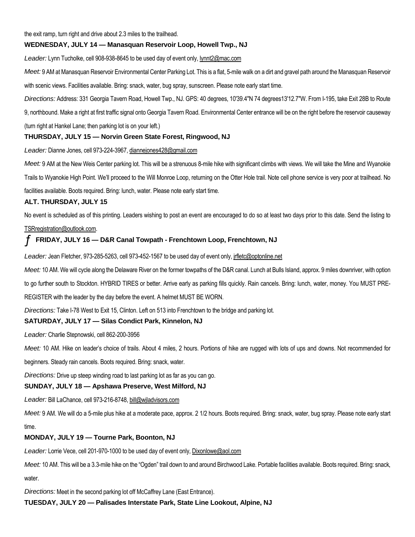the exit ramp, turn right and drive about 2.3 miles to the trailhead.

# **WEDNESDAY, JULY 14 — Manasquan Reservoir Loop, Howell Twp., NJ**

*Leader:* Lynn Tucholke, cell 908-938-8645 to be used day of event only, lynnt2@mac.com

*Meet:* 9 AM at Manasquan Reservoir Environmental Center Parking Lot. This is a flat, 5-mile walk on a dirt and gravel path around the Manasquan Reservoir

with scenic views. Facilities available. Bring: snack, water, bug spray, sunscreen. Please note early start time.

*Directions:* Address: 331 Georgia Tavern Road, Howell Twp., NJ. GPS: 40 degrees, 10'39.4"N 74 degrees13'12.7"W. From I-195, take Exit 28B to Route

9, northbound. Make a right at first traffic signal onto Georgia Tavern Road. Environmental Center entrance will be on the right before the reservoir causeway

(turn right at Hankel Lane; then parking lot is on your left.)

# **THURSDAY, JULY 15 — Norvin Green State Forest, Ringwood, NJ**

*Leader:* Dianne Jones, cell 973-224-3967, diannejones428@gmail.com

*Meet:* 9 AM at the New Weis Center parking lot. This will be a strenuous 8-mile hike with significant climbs with views. We will take the Mine and Wyanokie

Trails to Wyanokie High Point. We'll proceed to the Will Monroe Loop, returning on the Otter Hole trail. Note cell phone service is very poor at trailhead. No

facilities available. Boots required. Bring: lunch, water. Please note early start time.

# **ALT. THURSDAY, JULY 15**

No event is scheduled as of this printing. Leaders wishing to post an event are encouraged to do so at least two days prior to this date. Send the listing to

#### TSRregistration@outlook.com.

# ƒ **FRIDAY, JULY 16 — D&R Canal Towpath - Frenchtown Loop, Frenchtown, NJ**

Leader: Jean Fletcher, 973-285-5263, cell 973-452-1567 to be used day of event only, *jrfletc@optonline.net* 

*Meet:* 10 AM. We will cycle along the Delaware River on the former towpaths of the D&R canal. Lunch at Bulls Island, approx. 9 miles downriver, with option to go further south to Stockton. HYBRID TIRES or better. Arrive early as parking fills quickly. Rain cancels. Bring: lunch, water, money. You MUST PRE-REGISTER with the leader by the day before the event. A helmet MUST BE WORN.

*Directions:* Take I-78 West to Exit 15, Clinton. Left on 513 into Frenchtown to the bridge and parking lot.

# **SATURDAY, JULY 17 — Silas Condict Park, Kinnelon, NJ**

*Leader:* Charlie Stepnowski, cell 862-200-3956

*Meet:* 10 AM. Hike on leader's choice of trails. About 4 miles, 2 hours. Portions of hike are rugged with lots of ups and downs. Not recommended for

beginners. Steady rain cancels. Boots required. Bring: snack, water.

*Directions:* Drive up steep winding road to last parking lot as far as you can go.

# **SUNDAY, JULY 18 — Apshawa Preserve, West Milford, NJ**

*Leader:* Bill LaChance, cell 973-216-8748, bill@wjladvisors.com

*Meet:* 9 AM. We will do a 5-mile plus hike at a moderate pace, approx. 2 1/2 hours. Boots required. Bring: snack, water, bug spray. Please note early start time.

# **MONDAY, JULY 19 — Tourne Park, Boonton, NJ**

Leader: Lorrie Vece, cell 201-970-1000 to be used day of event only, Dixonlowe@aol.com

*Meet:* 10 AM. This will be a 3.3-mile hike on the "Ogden" trail down to and around Birchwood Lake. Portable facilities available. Boots required. Bring: snack, water.

*Directions:* Meet in the second parking lot off McCaffrey Lane (East Entrance).

**TUESDAY, JULY 20 — Palisades Interstate Park, State Line Lookout, Alpine, NJ**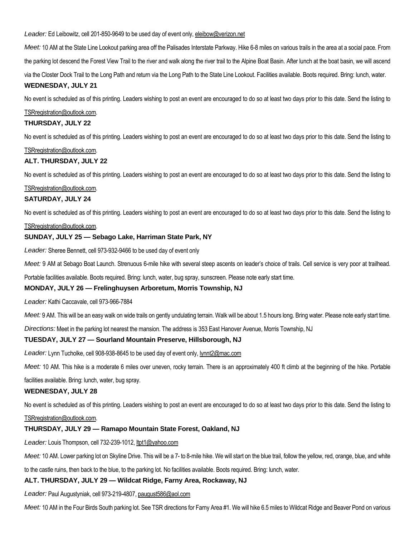*Leader:* Ed Leibowitz, cell 201-850-9649 to be used day of event only, eleibow@verizon.net

*Meet:* 10 AM at the State Line Lookout parking area off the Palisades Interstate Parkway. Hike 6-8 miles on various trails in the area at a social pace. From the parking lot descend the Forest View Trail to the river and walk along the river trail to the Alpine Boat Basin. After lunch at the boat basin, we will ascend via the Closter Dock Trail to the Long Path and return via the Long Path to the State Line Lookout. Facilities available. Boots required. Bring: lunch, water.

#### **WEDNESDAY, JULY 21**

No event is scheduled as of this printing. Leaders wishing to post an event are encouraged to do so at least two days prior to this date. Send the listing to

#### TSRregistration@outlook.com.

#### **THURSDAY, JULY 22**

No event is scheduled as of this printing. Leaders wishing to post an event are encouraged to do so at least two days prior to this date. Send the listing to

#### TSRregistration@outlook.com.

#### **ALT. THURSDAY, JULY 22**

No event is scheduled as of this printing. Leaders wishing to post an event are encouraged to do so at least two days prior to this date. Send the listing to

#### TSRregistration@outlook.com.

#### **SATURDAY, JULY 24**

No event is scheduled as of this printing. Leaders wishing to post an event are encouraged to do so at least two days prior to this date. Send the listing to

#### TSRregistration@outlook.com.

#### **SUNDAY, JULY 25 — Sebago Lake, Harriman State Park, NY**

*Leader:* Sheree Bennett, cell 973-932-9466 to be used day of event only

Meet: 9 AM at Sebago Boat Launch. Strenuous 6-mile hike with several steep ascents on leader's choice of trails. Cell service is very poor at trailhead.

Portable facilities available. Boots required. Bring: lunch, water, bug spray, sunscreen. Please note early start time.

#### **MONDAY, JULY 26 — Frelinghuysen Arboretum, Morris Township, NJ**

*Leader:* Kathi Caccavale, cell 973-966-7884

*Meet:* 9 AM. This will be an easy walk on wide trails on gently undulating terrain. Walk will be about 1.5 hours long. Bring water. Please note early start time.

*Directions:* Meet in the parking lot nearest the mansion. The address is 353 East Hanover Avenue, Morris Township, NJ

#### **TUESDAY, JULY 27 — Sourland Mountain Preserve, Hillsborough, NJ**

*Leader:* Lynn Tucholke, cell 908-938-8645 to be used day of event only, lynnt2@mac.com

*Meet:* 10 AM. This hike is a moderate 6 miles over uneven, rocky terrain. There is an approximately 400 ft climb at the beginning of the hike. Portable

facilities available. Bring: lunch, water, bug spray.

#### **WEDNESDAY, JULY 28**

No event is scheduled as of this printing. Leaders wishing to post an event are encouraged to do so at least two days prior to this date. Send the listing to

#### TSRregistration@outlook.com.

#### **THURSDAY, JULY 29 — Ramapo Mountain State Forest, Oakland, NJ**

*Leader:* Louis Thompson, cell 732-239-1012, ltpt1@yahoo.com

*Meet:* 10 AM. Lower parking lot on Skyline Drive. This will be a 7- to 8-mile hike. We will start on the blue trail, follow the yellow, red, orange, blue, and white

to the castle ruins, then back to the blue, to the parking lot. No facilities available. Boots required. Bring: lunch, water.

# **ALT. THURSDAY, JULY 29 — Wildcat Ridge, Farny Area, Rockaway, NJ**

*Leader:* Paul Augustyniak, cell 973-219-4807, paugust586@aol.com

*Meet:* 10 AM in the Four Birds South parking lot. See TSR directions for Farny Area #1. We will hike 6.5 miles to Wildcat Ridge and Beaver Pond on various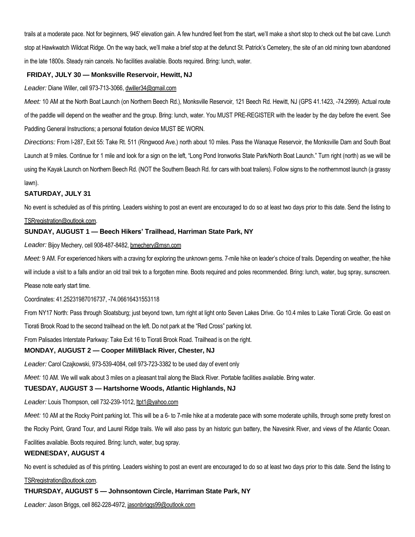trails at a moderate pace. Not for beginners, 945' elevation gain. A few hundred feet from the start, we'll make a short stop to check out the bat cave. Lunch stop at Hawkwatch Wildcat Ridge. On the way back, we'll make a brief stop at the defunct St. Patrick's Cemetery, the site of an old mining town abandoned in the late 1800s. Steady rain cancels. No facilities available. Boots required. Bring: lunch, water.

# **FRIDAY, JULY 30 — Monksville Reservoir, Hewitt, NJ**

#### *Leader:* Diane Willer, cell 973-713-3066, dwiller34@gmail.com

*Meet:* 10 AM at the North Boat Launch (on Northern Beech Rd.), Monksville Reservoir, 121 Beech Rd. Hewitt, NJ (GPS 41.1423, -74.2999). Actual route of the paddle will depend on the weather and the group. Bring: lunch, water. You MUST PRE-REGISTER with the leader by the day before the event. See Paddling General Instructions; a personal flotation device MUST BE WORN.

*Directions:* From I-287, Exit 55: Take Rt. 511 (Ringwood Ave.) north about 10 miles. Pass the Wanaque Reservoir, the Monksville Dam and South Boat Launch at 9 miles. Continue for 1 mile and look for a sign on the left, "Long Pond Ironworks State Park/North Boat Launch." Turn right (north) as we will be using the Kayak Launch on Northern Beech Rd. (NOT the Southern Beach Rd. for cars with boat trailers). Follow signs to the northernmost launch (a grassy lawn).

#### **SATURDAY, JULY 31**

No event is scheduled as of this printing. Leaders wishing to post an event are encouraged to do so at least two days prior to this date. Send the listing to

#### TSRregistration@outlook.com.

# **SUNDAY, AUGUST 1 — Beech Hikers' Trailhead, Harriman State Park, NY**

*Leader:* Bijoy Mechery, cell 908-487-8482, bmechery@msn.com

*Meet:* 9 AM. For experienced hikers with a craving for exploring the unknown gems. 7-mile hike on leader's choice of trails. Depending on weather, the hike

will include a visit to a falls and/or an old trail trek to a forgotten mine. Boots required and poles recommended. Bring: lunch, water, bug spray, sunscreen.

Please note early start time.

#### Coordinates: 41.25231987016737, -74.06616431553118

From NY17 North: Pass through Sloatsburg; just beyond town, turn right at light onto Seven Lakes Drive. Go 10.4 miles to Lake Tiorati Circle. Go east on

Tiorati Brook Road to the second trailhead on the left. Do not park at the "Red Cross" parking lot.

From Palisades Interstate Parkway: Take Exit 16 to Tiorati Brook Road. Trailhead is on the right.

#### **MONDAY, AUGUST 2 — Cooper Mill/Black River, Chester, NJ**

*Leader:* Carol Czajkowski, 973-539-4084, cell 973-723-3382 to be used day of event only

*Meet:* 10 AM. We will walk about 3 miles on a pleasant trail along the Black River. Portable facilities available. Bring water.

#### **TUESDAY, AUGUST 3 — Hartshorne Woods, Atlantic Highlands, NJ**

*Leader:* Louis Thompson, cell 732-239-1012, ltpt1@yahoo.com

*Meet:* 10 AM at the Rocky Point parking lot. This will be a 6- to 7-mile hike at a moderate pace with some moderate uphills, through some pretty forest on

the Rocky Point, Grand Tour, and Laurel Ridge trails. We will also pass by an historic gun battery, the Navesink River, and views of the Atlantic Ocean.

Facilities available. Boots required. Bring: lunch, water, bug spray.

#### **WEDNESDAY, AUGUST 4**

No event is scheduled as of this printing. Leaders wishing to post an event are encouraged to do so at least two days prior to this date. Send the listing to

#### TSRregistration@outlook.com.

#### **THURSDAY, AUGUST 5 — Johnsontown Circle, Harriman State Park, NY**

*Leader:* Jason Briggs, cell 862-228-4972, jasonbriggs99@outlook.com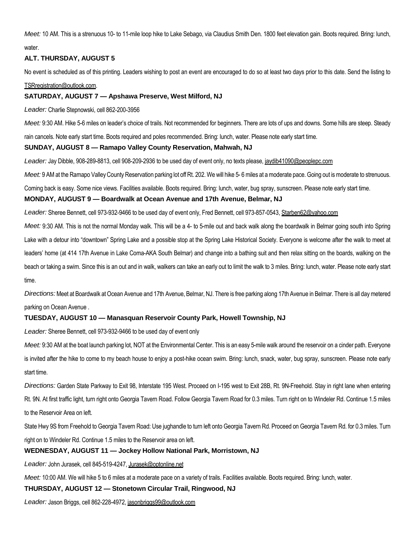*Meet:* 10 AM. This is a strenuous 10- to 11-mile loop hike to Lake Sebago, via Claudius Smith Den. 1800 feet elevation gain. Boots required. Bring: lunch,

water.

# **ALT. THURSDAY, AUGUST 5**

No event is scheduled as of this printing. Leaders wishing to post an event are encouraged to do so at least two days prior to this date. Send the listing to

#### TSRregistration@outlook.com.

# **SATURDAY, AUGUST 7 — Apshawa Preserve, West Milford, NJ**

*Leader:* Charlie Stepnowski, cell 862-200-3956

*Meet:* 9:30 AM. Hike 5-6 miles on leader's choice of trails. Not recommended for beginners. There are lots of ups and downs. Some hills are steep. Steady

rain cancels. Note early start time. Boots required and poles recommended. Bring: lunch, water. Please note early start time.

# **SUNDAY, AUGUST 8 — Ramapo Valley County Reservation, Mahwah, NJ**

Leader: Jay Dibble, 908-289-8813, cell 908-209-2936 to be used day of event only, no texts please, jaydib41090@peoplepc.com

Meet: 9 AM at the Ramapo Valley County Reservation parking lot off Rt. 202. We will hike 5-6 miles at a moderate pace. Going out is moderate to strenuous.

Coming back is easy. Some nice views. Facilities available. Boots required. Bring: lunch, water, bug spray, sunscreen. Please note early start time.

# **MONDAY, AUGUST 9 — Boardwalk at Ocean Avenue and 17th Avenue, Belmar, NJ**

*Leader:* Sheree Bennett, cell 973-932-9466 to be used day of event only, Fred Bennett, cell 973-857-0543, Starben62@yahoo.com

*Meet:* 9:30 AM. This is not the normal Monday walk. This will be a 4- to 5-mile out and back walk along the boardwalk in Belmar going south into Spring Lake with a detour into "downtown" Spring Lake and a possible stop at the Spring Lake Historical Society. Everyone is welcome after the walk to meet at leaders' home (at 414 17th Avenue in Lake Coma-AKA South Belmar) and change into a bathing suit and then relax sitting on the boards, walking on the beach or taking a swim. Since this is an out and in walk, walkers can take an early out to limit the walk to 3 miles. Bring: lunch, water. Please note early start time.

*Directions:*Meet at Boardwalk at Ocean Avenue and 17th Avenue, Belmar, NJ. There is free parking along 17th Avenue in Belmar. There is all day metered parking on Ocean Avenue .

# **TUESDAY, AUGUST 10 — Manasquan Reservoir County Park, Howell Township, NJ**

*Leader:* Sheree Bennett, cell 973-932-9466 to be used day of event only

*Meet:* 9:30 AM at the boat launch parking lot, NOT at the Environmental Center. This is an easy 5-mile walk around the reservoir on a cinder path. Everyone is invited after the hike to come to my beach house to enjoy a post-hike ocean swim. Bring: lunch, snack, water, bug spray, sunscreen. Please note early start time.

*Directions:* Garden State Parkway to Exit 98, Interstate 195 West. Proceed on I-195 west to Exit 28B, Rt. 9N-Freehold. Stay in right lane when entering Rt. 9N. At first traffic light, turn right onto Georgia Tavern Road. Follow Georgia Tavern Road for 0.3 miles. Turn right on to Windeler Rd. Continue 1.5 miles to the Reservoir Area on left.

State Hwy 9S from Freehold to Georgia Tavern Road: Use jughandle to turn left onto Georgia Tavern Rd. Proceed on Georgia Tavern Rd. for 0.3 miles. Turn right on to Windeler Rd. Continue 1.5 miles to the Reservoir area on left.

# **WEDNESDAY, AUGUST 11 — Jockey Hollow National Park, Morristown, NJ**

*Leader:* John Jurasek, cell 845-519-4247, Jurasek@optonline.net

*Meet:* 10:00 AM. We will hike 5 to 6 miles at a moderate pace on a variety of trails. Facilities available. Boots required. Bring: lunch, water.

# **THURSDAY, AUGUST 12 — Stonetown Circular Trail, Ringwood, NJ**

*Leader:* Jason Briggs, cell 862-228-4972, jasonbriggs99@outlook.com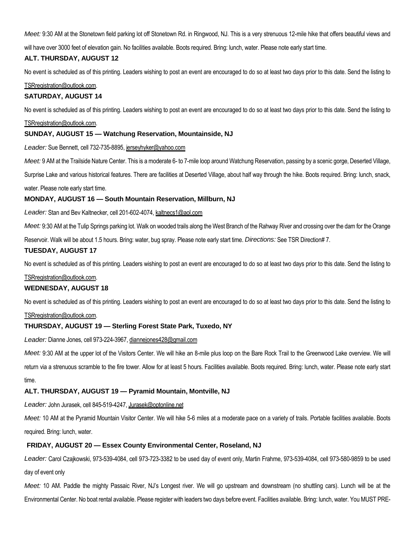*Meet:* 9:30 AM at the Stonetown field parking lot off Stonetown Rd. in Ringwood, NJ. This is a very strenuous 12-mile hike that offers beautiful views and

will have over 3000 feet of elevation gain. No facilities available. Boots required. Bring: lunch, water. Please note early start time.

#### **ALT. THURSDAY, AUGUST 12**

No event is scheduled as of this printing. Leaders wishing to post an event are encouraged to do so at least two days prior to this date. Send the listing to

#### TSRregistration@outlook.com.

#### **SATURDAY, AUGUST 14**

No event is scheduled as of this printing. Leaders wishing to post an event are encouraged to do so at least two days prior to this date. Send the listing to

#### TSRregistration@outlook.com.

#### **SUNDAY, AUGUST 15 — Watchung Reservation, Mountainside, NJ**

*Leader:* Sue Bennett, cell 732-735-8895, jerseyhyker@yahoo.com

*Meet:* 9 AM at the Trailside Nature Center. This is a moderate 6- to 7-mile loop around Watchung Reservation, passing by a scenic gorge, Deserted Village,

Surprise Lake and various historical features. There are facilities at Deserted Village, about half way through the hike. Boots required. Bring: lunch, snack,

water. Please note early start time.

#### **MONDAY, AUGUST 16 — South Mountain Reservation, Millburn, NJ**

*Leader:* Stan and Bev Kaltnecker, cell 201-602-4074, kaltnecs1@aol.com

*Meet:* 9:30 AM at the Tulip Springs parking lot. Walk on wooded trails along the West Branch of the Rahway River and crossing over the dam for the Orange

Reservoir. Walk will be about 1.5 hours. Bring: water, bug spray. Please note early start time. *Directions:* See TSR Direction# 7.

#### **TUESDAY, AUGUST 17**

No event is scheduled as of this printing. Leaders wishing to post an event are encouraged to do so at least two days prior to this date. Send the listing to

#### TSRregistration@outlook.com.

#### **WEDNESDAY, AUGUST 18**

No event is scheduled as of this printing. Leaders wishing to post an event are encouraged to do so at least two days prior to this date. Send the listing to

#### TSRregistration@outlook.com.

#### **THURSDAY, AUGUST 19 — Sterling Forest State Park, Tuxedo, NY**

*Leader:* Dianne Jones, cell 973-224-3967, diannejones428@gmail.com

*Meet:* 9:30 AM at the upper lot of the Visitors Center. We will hike an 8-mile plus loop on the Bare Rock Trail to the Greenwood Lake overview. We will

return via a strenuous scramble to the fire tower. Allow for at least 5 hours. Facilities available. Boots required. Bring: lunch, water. Please note early start time.

#### **ALT. THURSDAY, AUGUST 19 — Pyramid Mountain, Montville, NJ**

*Leader:* John Jurasek, cell 845-519-4247, Jurasek@optonline.net

*Meet:* 10 AM at the Pyramid Mountain Visitor Center. We will hike 5-6 miles at a moderate pace on a variety of trails. Portable facilities available. Boots required. Bring: lunch, water.

#### **FRIDAY, AUGUST 20 — Essex County Environmental Center, Roseland, NJ**

*Leader:* Carol Czajkowski, 973-539-4084, cell 973-723-3382 to be used day of event only, Martin Frahme, 973-539-4084, cell 973-580-9859 to be used day of event only

*Meet:* 10 AM. Paddle the mighty Passaic River, NJ's Longest river. We will go upstream and downstream (no shuttling cars). Lunch will be at the Environmental Center. No boat rental available. Please register with leaders two days before event. Facilities available. Bring: lunch, water. You MUST PRE-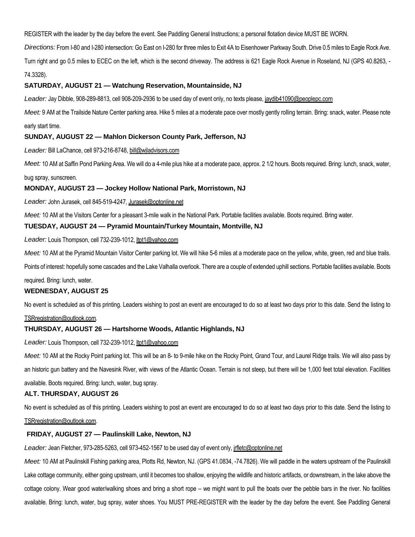REGISTER with the leader by the day before the event. See Paddling General Instructions; a personal flotation device MUST BE WORN.

*Directions:* From I-80 and I-280 intersection: Go East on I-280 for three miles to Exit 4A to Eisenhower Parkway South. Drive 0.5 miles to Eagle Rock Ave.

Turn right and go 0.5 miles to ECEC on the left, which is the second driveway. The address is 621 Eagle Rock Avenue in Roseland, NJ (GPS 40.8263, - 74.3328).

#### **SATURDAY, AUGUST 21 — Watchung Reservation, Mountainside, NJ**

*Leader:* Jay Dibble, 908-289-8813, cell 908-209-2936 to be used day of event only, no texts please, jaydib41090@peoplepc.com

*Meet:* 9 AM at the Trailside Nature Center parking area. Hike 5 miles at a moderate pace over mostly gently rolling terrain. Bring: snack, water. Please note early start time.

#### **SUNDAY, AUGUST 22 — Mahlon Dickerson County Park, Jefferson, NJ**

*Leader:* Bill LaChance, cell 973-216-8748, bill@wjladvisors.com

Meet: 10 AM at Saffin Pond Parking Area. We will do a 4-mile plus hike at a moderate pace, approx. 2 1/2 hours. Boots required. Bring: lunch, snack, water,

bug spray, sunscreen.

#### **MONDAY, AUGUST 23 — Jockey Hollow National Park, Morristown, NJ**

*Leader:* John Jurasek, cell 845-519-4247, Jurasek@optonline.net

*Meet:* 10 AM at the Visitors Center for a pleasant 3-mile walk in the National Park. Portable facilities available. Boots required. Bring water.

#### **TUESDAY, AUGUST 24 — Pyramid Mountain/Turkey Mountain, Montville, NJ**

*Leader:* Louis Thompson, cell 732-239-1012, ltpt1@yahoo.com

Meet: 10 AM at the Pyramid Mountain Visitor Center parking lot. We will hike 5-6 miles at a moderate pace on the yellow, white, green, red and blue trails.

Points of interest: hopefully some cascades and the Lake Valhalla overlook. There are a couple of extended uphill sections. Portable facilities available. Boots

required. Bring: lunch, water.

#### **WEDNESDAY, AUGUST 25**

No event is scheduled as of this printing. Leaders wishing to post an event are encouraged to do so at least two days prior to this date. Send the listing to

#### TSRregistration@outlook.com.

#### **THURSDAY, AUGUST 26 — Hartshorne Woods, Atlantic Highlands, NJ**

*Leader:* Louis Thompson, cell 732-239-1012, ltpt1@yahoo.com

*Meet:* 10 AM at the Rocky Point parking lot. This will be an 8- to 9-mile hike on the Rocky Point, Grand Tour, and Laurel Ridge trails. We will also pass by an historic gun battery and the Navesink River, with views of the Atlantic Ocean. Terrain is not steep, but there will be 1,000 feet total elevation. Facilities available. Boots required. Bring: lunch, water, bug spray.

#### **ALT. THURSDAY, AUGUST 26**

No event is scheduled as of this printing. Leaders wishing to post an event are encouraged to do so at least two days prior to this date. Send the listing to TSRregistration@outlook.com.

#### **FRIDAY, AUGUST 27 — Paulinskill Lake, Newton, NJ**

*Leader:* Jean Fletcher, 973-285-5263, cell 973-452-1567 to be used day of event only, jrfletc@optonline.net

*Meet:* 10 AM at Paulinskill Fishing parking area, Plotts Rd, Newton, NJ. (GPS 41.0834, -74.7826). We will paddle in the waters upstream of the Paulinskill Lake cottage community, either going upstream, until it becomes too shallow, enjoying the wildlife and historic artifacts, or downstream, in the lake above the cottage colony. Wear good water/walking shoes and bring a short rope – we might want to pull the boats over the pebble bars in the river. No facilities available. Bring: lunch, water, bug spray, water shoes. You MUST PRE-REGISTER with the leader by the day before the event. See Paddling General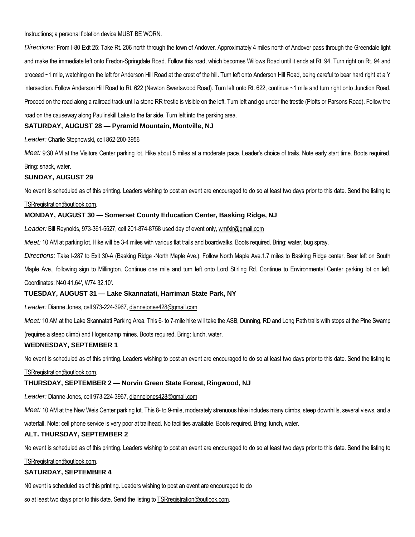Instructions; a personal flotation device MUST BE WORN.

*Directions:* From I-80 Exit 25: Take Rt. 206 north through the town of Andover. Approximately 4 miles north of Andover pass through the Greendale light and make the immediate left onto Fredon-Springdale Road. Follow this road, which becomes Willows Road until it ends at Rt. 94. Turn right on Rt. 94 and proceed ~1 mile, watching on the left for Anderson Hill Road at the crest of the hill. Turn left onto Anderson Hill Road, being careful to bear hard right at a Y intersection. Follow Anderson Hill Road to Rt. 622 (Newton Swartswood Road). Turn left onto Rt. 622, continue ~1 mile and turn right onto Junction Road. Proceed on the road along a railroad track until a stone RR trestle is visible on the left. Turn left and go under the trestle (Plotts or Parsons Road). Follow the road on the causeway along Paulinskill Lake to the far side. Turn left into the parking area.

# **SATURDAY, AUGUST 28 — Pyramid Mountain, Montville, NJ**

#### *Leader:* Charlie Stepnowski, cell 862-200-3956

*Meet:* 9:30 AM at the Visitors Center parking lot. Hike about 5 miles at a moderate pace. Leader's choice of trails. Note early start time. Boots required. Bring: snack, water.

#### **SUNDAY, AUGUST 29**

No event is scheduled as of this printing. Leaders wishing to post an event are encouraged to do so at least two days prior to this date. Send the listing to

#### TSRregistration@outlook.com.

#### **MONDAY, AUGUST 30 — Somerset County Education Center, Basking Ridge, NJ**

*Leader:* Bill Reynolds, 973-361-5527, cell 201-874-8758 used day of event only, wmfxir@gmail.com

*Meet:* 10 AM at parking lot. Hike will be 3-4 miles with various flat trails and boardwalks. Boots required. Bring: water, bug spray.

*Directions:* Take I-287 to Exit 30-A (Basking Ridge -North Maple Ave.). Follow North Maple Ave.1.7 miles to Basking Ridge center. Bear left on South

Maple Ave., following sign to Millington. Continue one mile and turn left onto Lord Stirling Rd. Continue to Environmental Center parking lot on left.

Coordinates: N40 41.64', W74 32.10'.

#### **TUESDAY, AUGUST 31 — Lake Skannatati, Harriman State Park, NY**

*Leader:* Dianne Jones, cell 973-224-3967, diannejones428@gmail.com

*Meet:* 10 AM at the Lake Skannatati Parking Area. This 6- to 7-mile hike will take the ASB, Dunning, RD and Long Path trails with stops at the Pine Swamp

(requires a steep climb) and Hogencamp mines. Boots required. Bring: lunch, water.

#### **WEDNESDAY, SEPTEMBER 1**

No event is scheduled as of this printing. Leaders wishing to post an event are encouraged to do so at least two days prior to this date. Send the listing to

#### TSRregistration@outlook.com.

#### **THURSDAY, SEPTEMBER 2 — Norvin Green State Forest, Ringwood, NJ**

*Leader:* Dianne Jones, cell 973-224-3967, diannejones428@gmail.com

Meet: 10 AM at the New Weis Center parking lot. This 8- to 9-mile, moderately strenuous hike includes many climbs, steep downhills, several views, and a

waterfall. Note: cell phone service is very poor at trailhead. No facilities available. Boots required. Bring: lunch, water.

#### **ALT. THURSDAY, SEPTEMBER 2**

No event is scheduled as of this printing. Leaders wishing to post an event are encouraged to do so at least two days prior to this date. Send the listing to

#### TSRregistration@outlook.com.

#### **SATURDAY, SEPTEMBER 4**

N0 event is scheduled as of this printing. Leaders wishing to post an event are encouraged to do

so at least two days prior to this date. Send the listing to **TSRregistration@outlook.com.**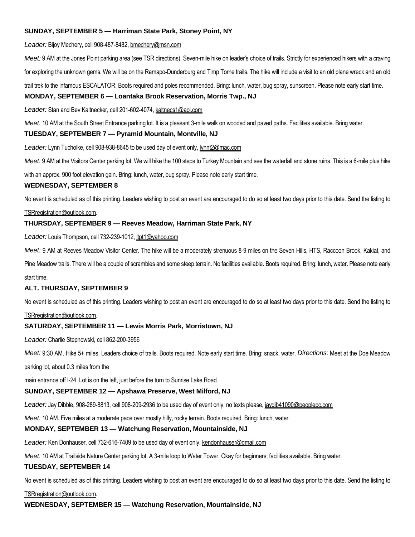# **SUNDAY, SEPTEMBER 5 — Harriman State Park, Stoney Point, NY**

*Leader:* Bijoy Mechery, cell 908-487-8482, bmechery@msn.com

*Meet:* 9 AM at the Jones Point parking area (see TSR directions). Seven-mile hike on leader's choice of trails. Strictly for experienced hikers with a craving

for exploring the unknown gems. We will be on the Ramapo-Dunderburg and Timp Torne trails. The hike will include a visit to an old plane wreck and an old

trail trek to the infamous ESCALATOR. Boots required and poles recommended. Bring: lunch, water, bug spray, sunscreen. Please note early start time.

#### **MONDAY, SEPTEMBER 6 — Loantaka Brook Reservation, Morris Twp., NJ**

*Leader:* Stan and Bev Kaltnecker, cell 201-602-4074, kaltnecs1@aol.com

*Meet:* 10 AM at the South Street Entrance parking lot. It is a pleasant 3-mile walk on wooded and paved paths. Facilities available. Bring water.

#### **TUESDAY, SEPTEMBER 7 — Pyramid Mountain, Montville, NJ**

*Leader:* Lynn Tucholke, cell 908-938-8645 to be used day of event only, lynnt2@mac.com

*Meet:* 9 AM at the Visitors Center parking lot. We will hike the 100 steps to Turkey Mountain and see the waterfall and stone ruins. This is a 6-mile plus hike

with an approx. 900 foot elevation gain. Bring: lunch, water, bug spray. Please note early start time.

#### **WEDNESDAY, SEPTEMBER 8**

No event is scheduled as of this printing. Leaders wishing to post an event are encouraged to do so at least two days prior to this date. Send the listing to

#### TSRregistration@outlook.com.

#### **THURSDAY, SEPTEMBER 9 — Reeves Meadow, Harriman State Park, NY**

*Leader:* Louis Thompson, cell 732-239-1012, ltpt1@yahoo.com

*Meet:* 9 AM at Reeves Meadow Visitor Center. The hike will be a moderately strenuous 8-9 miles on the Seven Hills, HTS, Raccoon Brook, Kakiat, and

Pine Meadow trails. There will be a couple of scrambles and some steep terrain. No facilities available. Boots required. Bring: lunch, water. Please note early start time.

#### **ALT. THURSDAY, SEPTEMBER 9**

No event is scheduled as of this printing. Leaders wishing to post an event are encouraged to do so at least two days prior to this date. Send the listing to

#### TSRregistration@outlook.com.

#### **SATURDAY, SEPTEMBER 11 — Lewis Morris Park, Morristown, NJ**

*Leader:* Charlie Stepnowski, cell 862-200-3956

*Meet:* 9:30 AM. Hike 5+ miles. Leaders choice of trails. Boots required. Note early start time. Bring: snack, water. *Directions:* Meet at the Doe Meadow

parking lot, about 0.3 miles from the

main entrance off I-24. Lot is on the left, just before the turn to Sunrise Lake Road.

#### **SUNDAY, SEPTEMBER 12 — Apshawa Preserve, West Milford, NJ**

*Leader:* Jay Dibble, 908-289-8813, cell 908-209-2936 to be used day of event only, no texts please, jaydib41090@peoplepc.com

*Meet:* 10 AM. Five miles at a moderate pace over mostly hilly, rocky terrain. Boots required. Bring: lunch, water.

#### **MONDAY, SEPTEMBER 13 — Watchung Reservation, Mountainside, NJ**

Leader: Ken Donhauser, cell 732-616-7409 to be used day of event only, kendonhauser@gmail.com

*Meet:* 10 AM at Trailside Nature Center parking lot. A 3-mile loop to Water Tower. Okay for beginners; facilities available. Bring water.

#### **TUESDAY, SEPTEMBER 14**

No event is scheduled as of this printing. Leaders wishing to post an event are encouraged to do so at least two days prior to this date. Send the listing to

TSRregistration@outlook.com.

**WEDNESDAY, SEPTEMBER 15 — Watchung Reservation, Mountainside, NJ**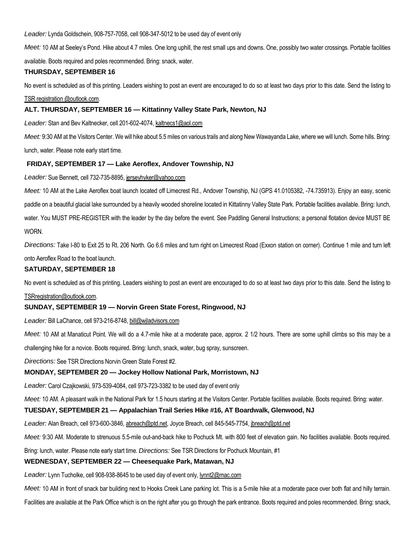*Leader:* Lynda Goldschein, 908-757-7058, cell 908-347-5012 to be used day of event only

*Meet:* 10 AM at Seeley's Pond. Hike about 4.7 miles. One long uphill, the rest small ups and downs. One, possibly two water crossings. Portable facilities

available. Boots required and poles recommended. Bring: snack, water.

#### **THURSDAY, SEPTEMBER 16**

No event is scheduled as of this printing. Leaders wishing to post an event are encouraged to do so at least two days prior to this date. Send the listing to

# TSR registration @outlook.com.

# **ALT. THURSDAY, SEPTEMBER 16 — Kittatinny Valley State Park, Newton, NJ**

*Leader:* Stan and Bev Kaltnecker, cell 201-602-4074, kaltnecs1@aol.com

*Meet:* 9:30 AM at the Visitors Center. We will hike about 5.5 miles on various trails and along New Wawayanda Lake, where we will lunch. Some hills. Bring: lunch, water. Please note early start time.

# **FRIDAY, SEPTEMBER 17 — Lake Aeroflex, Andover Township, NJ**

*Leader:* Sue Bennett, cell 732-735-8895, jerseyhyker@yahoo.com

*Meet:* 10 AM at the Lake Aeroflex boat launch located off Limecrest Rd., Andover Township, NJ (GPS 41.0105382, -74.735913). Enjoy an easy, scenic paddle on a beautiful glacial lake surrounded by a heavily wooded shoreline located in Kittatinny Valley State Park. Portable facilities available. Bring: lunch, water. You MUST PRE-REGISTER with the leader by the day before the event. See Paddling General Instructions; a personal flotation device MUST BE WORN.

*Directions:* Take I-80 to Exit 25 to Rt. 206 North. Go 6.6 miles and turn right on Limecrest Road (Exxon station on corner). Continue 1 mile and turn left onto Aeroflex Road to the boat launch.

# **SATURDAY, SEPTEMBER 18**

No event is scheduled as of this printing. Leaders wishing to post an event are encouraged to do so at least two days prior to this date. Send the listing to

#### TSRregistration@outlook.com.

# **SUNDAY, SEPTEMBER 19 — Norvin Green State Forest, Ringwood, NJ**

*Leader:* Bill LaChance, cell 973-216-8748, bill@wjladvisors.com

*Meet:* 10 AM at Manaticut Point. We will do a 4.7-mile hike at a moderate pace, approx. 2 1/2 hours. There are some uphill climbs so this may be a

challenging hike for a novice. Boots required. Bring: lunch, snack, water, bug spray, sunscreen.

*Directions:* See TSR Directions Norvin Green State Forest #2.

#### **MONDAY, SEPTEMBER 20 — Jockey Hollow National Park, Morristown, NJ**

*Leader:* Carol Czajkowski, 973-539-4084, cell 973-723-3382 to be used day of event only

*Meet:* 10 AM. A pleasant walk in the National Park for 1.5 hours starting at the Visitors Center. Portable facilities available. Boots required. Bring: water.

# **TUESDAY, SEPTEMBER 21 — Appalachian Trail Series Hike #16, AT Boardwalk, Glenwood, NJ**

*Leader:* Alan Breach, cell 973-600-3846, abreach@ptd.net, Joyce Breach, cell 845-545-7754, jbreach@ptd.net

*Meet:* 9:30 AM. Moderate to strenuous 5.5-mile out-and-back hike to Pochuck Mt. with 800 feet of elevation gain. No facilities available. Boots required.

Bring: lunch, water. Please note early start time. *Directions:* See TSR Directions for Pochuck Mountain, #1

#### **WEDNESDAY, SEPTEMBER 22 — Cheesequake Park, Matawan, NJ**

*Leader:* Lynn Tucholke, cell 908-938-8645 to be used day of event only, lynnt2@mac.com

*Meet:* 10 AM in front of snack bar building next to Hooks Creek Lane parking lot. This is a 5-mile hike at a moderate pace over both flat and hilly terrain.

Facilities are available at the Park Office which is on the right after you go through the park entrance. Boots required and poles recommended. Bring: snack,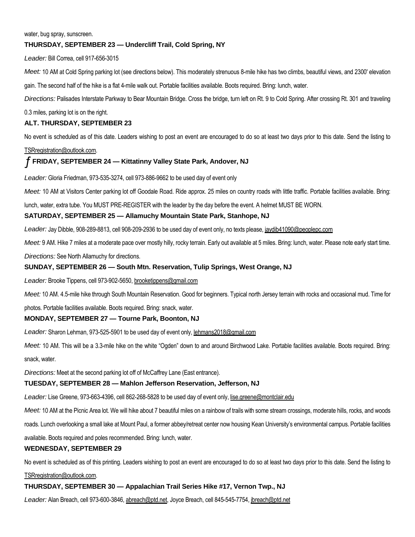#### water, bug spray, sunscreen.

# **THURSDAY, SEPTEMBER 23 — Undercliff Trail, Cold Spring, NY**

*Leader:* Bill Correa, cell 917-656-3015

*Meet:* 10 AM at Cold Spring parking lot (see directions below). This moderately strenuous 8-mile hike has two climbs, beautiful views, and 2300' elevation

gain. The second half of the hike is a flat 4-mile walk out. Portable facilities available. Boots required. Bring: lunch, water.

*Directions:* Palisades Interstate Parkway to Bear Mountain Bridge. Cross the bridge, turn left on Rt. 9 to Cold Spring. After crossing Rt. 301 and traveling

0.3 miles, parking lot is on the right.

#### **ALT. THURSDAY, SEPTEMBER 23**

No event is scheduled as of this date. Leaders wishing to post an event are encouraged to do so at least two days prior to this date. Send the listing to

#### TSRregistration@outlook.com.

# ƒ **FRIDAY, SEPTEMBER 24 — Kittatinny Valley State Park, Andover, NJ**

*Leader:* Gloria Friedman, 973-535-3274, cell 973-886-9662 to be used day of event only

*Meet:* 10 AM at Visitors Center parking lot off Goodale Road. Ride approx. 25 miles on country roads with little traffic. Portable facilities available. Bring:

lunch, water, extra tube. You MUST PRE-REGISTER with the leader by the day before the event. A helmet MUST BE WORN.

#### **SATURDAY, SEPTEMBER 25 — Allamuchy Mountain State Park, Stanhope, NJ**

*Leader:* Jay Dibble, 908-289-8813, cell 908-209-2936 to be used day of event only, no texts please, jaydib41090@peoplepc.com

Meet: 9 AM. Hike 7 miles at a moderate pace over mostly hilly, rocky terrain. Early out available at 5 miles. Bring: lunch, water. Please note early start time.

*Directions:* See North Allamuchy for directions.

#### **SUNDAY, SEPTEMBER 26 — South Mtn. Reservation, Tulip Springs, West Orange, NJ**

*Leader:* Brooke Tippens, cell 973-902-5650, brooketippens@gmail.com

*Meet:* 10 AM. 4.5-mile hike through South Mountain Reservation. Good for beginners. Typical north Jersey terrain with rocks and occasional mud. Time for

photos. Portable facilities available. Boots required. Bring: snack, water.

#### **MONDAY, SEPTEMBER 27 — Tourne Park, Boonton, NJ**

*Leader:* Sharon Lehman, 973-525-5901 to be used day of event only, lehmans2018@gmail.com

*Meet:* 10 AM. This will be a 3.3-mile hike on the white "Ogden" down to and around Birchwood Lake. Portable facilities available. Boots required. Bring: snack, water.

*Directions:* Meet at the second parking lot off of McCaffrey Lane (East entrance).

#### **TUESDAY, SEPTEMBER 28 — Mahlon Jefferson Reservation, Jefferson, NJ**

*Leader:* Lise Greene, 973-663-4396, cell 862-268-5828 to be used day of event only, lise.greene@montclair.edu

*Meet:* 10 AM at the Picnic Area lot. We will hike about 7 beautiful miles on a rainbow of trails with some stream crossings, moderate hills, rocks, and woods

roads. Lunch overlooking a small lake at Mount Paul, a former abbey/retreat center now housing Kean University's environmental campus. Portable facilities

available. Boots required and poles recommended. Bring: lunch, water.

#### **WEDNESDAY, SEPTEMBER 29**

No event is scheduled as of this printing. Leaders wishing to post an event are encouraged to do so at least two days prior to this date. Send the listing to

#### TSRregistration@outlook.com.

#### **THURSDAY, SEPTEMBER 30 — Appalachian Trail Series Hike #17, Vernon Twp., NJ**

*Leader:* Alan Breach, cell 973-600-3846, abreach@ptd.net, Joyce Breach, cell 845-545-7754, jbreach@ptd.net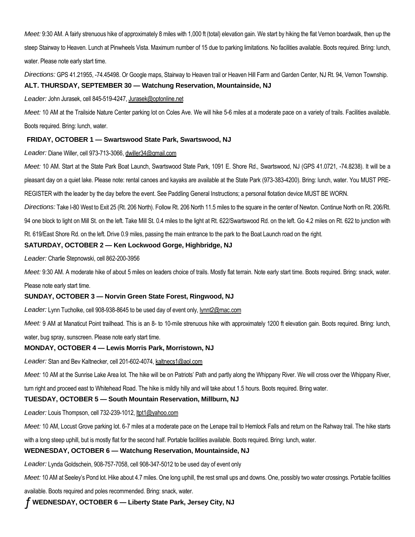*Meet:* 9:30 AM. A fairly strenuous hike of approximately 8 miles with 1,000 ft (total) elevation gain. We start by hiking the flat Vernon boardwalk, then up the steep Stairway to Heaven. Lunch at Pinwheels Vista. Maximum number of 15 due to parking limitations. No facilities available. Boots required. Bring: lunch, water. Please note early start time.

*Directions:* GPS 41.21955, -74.45498. Or Google maps, Stairway to Heaven trail or Heaven Hill Farm and Garden Center, NJ Rt. 94, Vernon Township. **ALT. THURSDAY, SEPTEMBER 30 — Watchung Reservation, Mountainside, NJ**

*Leader:* John Jurasek, cell 845-519-4247, Jurasek@optonline.net

*Meet:* 10 AM at the Trailside Nature Center parking lot on Coles Ave. We will hike 5-6 miles at a moderate pace on a variety of trails. Facilities available. Boots required. Bring: lunch, water.

# **FRIDAY, OCTOBER 1 — Swartswood State Park, Swartswood, NJ**

*Leader:* Diane Willer, cell 973-713-3066, dwiller34@gmail.com

*Meet:* 10 AM. Start at the State Park Boat Launch, Swartswood State Park, 1091 E. Shore Rd., Swartswood, NJ (GPS 41.0721, -74.8238). It will be a pleasant day on a quiet lake. Please note: rental canoes and kayaks are available at the State Park (973-383-4200). Bring: lunch, water. You MUST PRE-REGISTER with the leader by the day before the event. See Paddling General Instructions; a personal flotation device MUST BE WORN.

*Directions:* Take I-80 West to Exit 25 (Rt. 206 North). Follow Rt. 206 North 11.5 miles to the square in the center of Newton. Continue North on Rt. 206/Rt.

94 one block to light on Mill St. on the left. Take Mill St. 0.4 miles to the light at Rt. 622/Swartswood Rd. on the left. Go 4.2 miles on Rt. 622 to junction with

Rt. 619/East Shore Rd. on the left. Drive 0.9 miles, passing the main entrance to the park to the Boat Launch road on the right.

# **SATURDAY, OCTOBER 2 — Ken Lockwood Gorge, Highbridge, NJ**

*Leader:* Charlie Stepnowski, cell 862-200-3956

Meet: 9:30 AM. A moderate hike of about 5 miles on leaders choice of trails. Mostly flat terrain. Note early start time. Boots required. Bring: snack, water. Please note early start time.

# **SUNDAY, OCTOBER 3 — Norvin Green State Forest, Ringwood, NJ**

Leader: Lynn Tucholke, cell 908-938-8645 to be used day of event only, lynnt2@mac.com

*Meet:* 9 AM at Manaticut Point trailhead. This is an 8- to 10-mile strenuous hike with approximately 1200 ft elevation gain. Boots required. Bring: lunch, water, bug spray, sunscreen. Please note early start time.

# **MONDAY, OCTOBER 4 — Lewis Morris Park, Morristown, NJ**

*Leader:* Stan and Bev Kaltnecker, cell 201-602-4074, kaltnecs1@aol.com

*Meet:* 10 AM at the Sunrise Lake Area lot. The hike will be on Patriots' Path and partly along the Whippany River. We will cross over the Whippany River,

turn right and proceed east to Whitehead Road. The hike is mildly hilly and will take about 1.5 hours. Boots required. Bring water.

# **TUESDAY, OCTOBER 5 — South Mountain Reservation, Millburn, NJ**

*Leader:* Louis Thompson, cell 732-239-1012, ltpt1@yahoo.com

*Meet:* 10 AM, Locust Grove parking lot. 6-7 miles at a moderate pace on the Lenape trail to Hemlock Falls and return on the Rahway trail. The hike starts

with a long steep uphill, but is mostly flat for the second half. Portable facilities available. Boots required. Bring: lunch, water.

# **WEDNESDAY, OCTOBER 6 — Watchung Reservation, Mountainside, NJ**

*Leader:* Lynda Goldschein, 908-757-7058, cell 908-347-5012 to be used day of event only

*Meet:* 10 AM at Seeley's Pond lot. Hike about 4.7 miles. One long uphill, the rest small ups and downs. One, possibly two water crossings. Portable facilities

available. Boots required and poles recommended. Bring: snack, water.

ƒ **WEDNESDAY, OCTOBER 6 — Liberty State Park, Jersey City, NJ**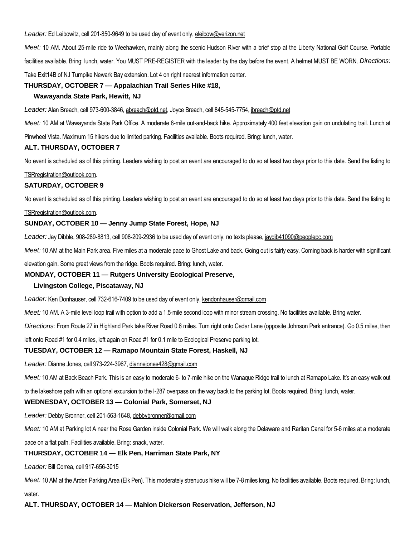*Leader:* Ed Leibowitz, cell 201-850-9649 to be used day of event only, eleibow@verizon.net

*Meet:* 10 AM. About 25-mile ride to Weehawken, mainly along the scenic Hudson River with a brief stop at the Liberty National Golf Course. Portable facilities available. Bring: lunch, water. You MUST PRE-REGISTER with the leader by the day before the event. A helmet MUST BE WORN. *Directions:* Take Exit14B of NJ Turnpike Newark Bay extension. Lot 4 on right nearest information center.

#### **THURSDAY, OCTOBER 7 — Appalachian Trail Series Hike #18,**

#### **Wawayanda State Park, Hewitt, NJ**

*Leader:* Alan Breach, cell 973-600-3846, abreach@ptd.net, Joyce Breach, cell 845-545-7754, jbreach@ptd.net

*Meet:* 10 AM at Wawayanda State Park Office. A moderate 8-mile out-and-back hike. Approximately 400 feet elevation gain on undulating trail. Lunch at

Pinwheel Vista. Maximum 15 hikers due to limited parking. Facilities available. Boots required. Bring: lunch, water.

#### **ALT. THURSDAY, OCTOBER 7**

No event is scheduled as of this printing. Leaders wishing to post an event are encouraged to do so at least two days prior to this date. Send the listing to

#### TSRregistration@outlook.com.

# **SATURDAY, OCTOBER 9**

No event is scheduled as of this printing. Leaders wishing to post an event are encouraged to do so at least two days prior to this date. Send the listing to

#### TSRregistration@outlook.com.

# **SUNDAY, OCTOBER 10 — Jenny Jump State Forest, Hope, NJ**

*Leader:* Jay Dibble, 908-289-8813, cell 908-209-2936 to be used day of event only, no texts please, jaydib41090@peoplepc.com

*Meet:* 10 AM at the Main Park area. Five miles at a moderate pace to Ghost Lake and back. Going out is fairly easy. Coming back is harder with significant

elevation gain. Some great views from the ridge. Boots required. Bring: lunch, water.

#### **MONDAY, OCTOBER 11 — Rutgers University Ecological Preserve,**

#### **Livingston College, Piscataway, NJ**

*Leader:* Ken Donhauser, cell 732-616-7409 to be used day of event only, kendonhauser@gmail.com

*Meet:* 10 AM. A 3-mile level loop trail with option to add a 1.5-mile second loop with minor stream crossing. No facilities available. Bring water.

*Directions:* From Route 27 in Highland Park take River Road 0.6 miles. Turn right onto Cedar Lane (opposite Johnson Park entrance). Go 0.5 miles, then

left onto Road #1 for 0.4 miles, left again on Road #1 for 0.1 mile to Ecological Preserve parking lot.

#### **TUESDAY, OCTOBER 12 — Ramapo Mountain State Forest, Haskell, NJ**

*Leader:* Dianne Jones, cell 973-224-3967, diannejones428@gmail.com

*Meet:* 10 AM at Back Beach Park. This is an easy to moderate 6- to 7-mile hike on the Wanaque Ridge trail to lunch at Ramapo Lake. It's an easy walk out

to the lakeshore path with an optional excursion to the I-287 overpass on the way back to the parking lot. Boots required. Bring: lunch, water.

# **WEDNESDAY, OCTOBER 13 — Colonial Park, Somerset, NJ**

*Leader:* Debby Bronner, cell 201-563-1648, debbybronner@gmail.com

*Meet:* 10 AM at Parking lot A near the Rose Garden inside Colonial Park. We will walk along the Delaware and Raritan Canal for 5-6 miles at a moderate

pace on a flat path. Facilities available. Bring: snack, water.

#### **THURSDAY, OCTOBER 14 — Elk Pen, Harriman State Park, NY**

*Leader:* Bill Correa, cell 917-656-3015

*Meet:* 10 AM at the Arden Parking Area (Elk Pen). This moderately strenuous hike will be 7-8 miles long. No facilities available. Boots required. Bring: lunch,

water.

#### **ALT. THURSDAY, OCTOBER 14 — Mahlon Dickerson Reservation, Jefferson, NJ**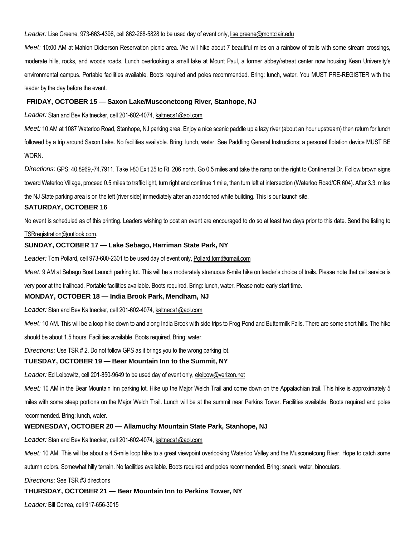#### Leader: Lise Greene, 973-663-4396, cell 862-268-5828 to be used day of event only, lise.greene@montclair.edu

*Meet:* 10:00 AM at Mahlon Dickerson Reservation picnic area. We will hike about 7 beautiful miles on a rainbow of trails with some stream crossings, moderate hills, rocks, and woods roads. Lunch overlooking a small lake at Mount Paul, a former abbey/retreat center now housing Kean University's environmental campus. Portable facilities available. Boots required and poles recommended. Bring: lunch, water. You MUST PRE-REGISTER with the leader by the day before the event.

#### **FRIDAY, OCTOBER 15 — Saxon Lake/Musconetcong River, Stanhope, NJ**

*Leader:* Stan and Bev Kaltnecker, cell 201-602-4074, kaltnecs1@aol.com

*Meet:* 10 AM at 1087 Waterloo Road, Stanhope, NJ parking area. Enjoy a nice scenic paddle up a lazy river (about an hour upstream) then return for lunch followed by a trip around Saxon Lake. No facilities available. Bring: lunch, water. See Paddling General Instructions; a personal flotation device MUST BE WORN.

*Directions:* GPS: 40.8969,-74.7911. Take I-80 Exit 25 to Rt. 206 north. Go 0.5 miles and take the ramp on the right to Continental Dr. Follow brown signs toward Waterloo Village, proceed 0.5 miles to traffic light, turn right and continue 1 mile, then turn left at intersection (Waterloo Road/CR 604). After 3.3. miles the NJ State parking area is on the left (river side) immediately after an abandoned white building. This is our launch site.

#### **SATURDAY, OCTOBER 16**

No event is scheduled as of this printing. Leaders wishing to post an event are encouraged to do so at least two days prior to this date. Send the listing to

#### TSRregistration@outlook.com.

#### **SUNDAY, OCTOBER 17 — Lake Sebago, Harriman State Park, NY**

*Leader:* Tom Pollard, cell 973-600-2301 to be used day of event only, Pollard.tom@gmail.com

*Meet:* 9 AM at Sebago Boat Launch parking lot. This will be a moderately strenuous 6-mile hike on leader's choice of trails. Please note that cell service is

very poor at the trailhead. Portable facilities available. Boots required. Bring: lunch, water. Please note early start time.

#### **MONDAY, OCTOBER 18 — India Brook Park, Mendham, NJ**

*Leader:* Stan and Bev Kaltnecker, cell 201-602-4074, kaltnecs1@aol.com

*Meet:* 10 AM. This will be a loop hike down to and along India Brook with side trips to Frog Pond and Buttermilk Falls. There are some short hills. The hike

should be about 1.5 hours. Facilities available. Boots required. Bring: water.

*Directions:* Use TSR # 2. Do not follow GPS as it brings you to the wrong parking lot.

#### **TUESDAY, OCTOBER 19 — Bear Mountain Inn to the Summit, NY**

Leader: Ed Leibowitz, cell 201-850-9649 to be used day of event only, eleibow@verizon.net

*Meet:* 10 AM in the Bear Mountain Inn parking lot. Hike up the Major Welch Trail and come down on the Appalachian trail. This hike is approximately 5 miles with some steep portions on the Major Welch Trail. Lunch will be at the summit near Perkins Tower. Facilities available. Boots required and poles recommended. Bring: lunch, water.

#### **WEDNESDAY, OCTOBER 20 — Allamuchy Mountain State Park, Stanhope, NJ**

*Leader:* Stan and Bev Kaltnecker, cell 201-602-4074, kaltnecs1@aol.com

*Meet:* 10 AM. This will be about a 4.5-mile loop hike to a great viewpoint overlooking Waterloo Valley and the Musconetcong River. Hope to catch some

autumn colors. Somewhat hilly terrain. No facilities available. Boots required and poles recommended. Bring: snack, water, binoculars.

*Directions:* See TSR #3 directions

#### **THURSDAY, OCTOBER 21 — Bear Mountain Inn to Perkins Tower, NY**

*Leader:* Bill Correa, cell 917-656-3015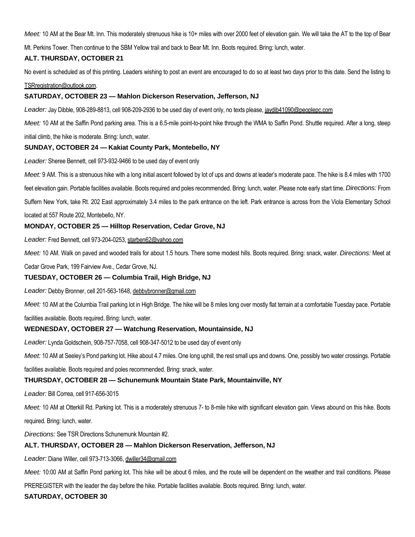*Meet:* 10 AM at the Bear Mt. Inn. This moderately strenuous hike is 10+ miles with over 2000 feet of elevation gain. We will take the AT to the top of Bear

Mt. Perkins Tower. Then continue to the SBM Yellow trail and back to Bear Mt. Inn. Boots required. Bring: lunch, water.

# **ALT. THURSDAY, OCTOBER 21**

No event is scheduled as of this printing. Leaders wishing to post an event are encouraged to do so at least two days prior to this date. Send the listing to

#### TSRregistration@outlook.com.

# **SATURDAY, OCTOBER 23 — Mahlon Dickerson Reservation, Jefferson, NJ**

*Leader:* Jay Dibble, 908-289-8813, cell 908-209-2936 to be used day of event only, no texts please, jaydib41090@peoplepc.com

*Meet:* 10 AM at the Saffin Pond parking area. This is a 6.5-mile point-to-point hike through the WMA to Saffin Pond. Shuttle required. After a long, steep

initial climb, the hike is moderate. Bring: lunch, water.

# **SUNDAY, OCTOBER 24 — Kakiat County Park, Montebello, NY**

*Leader:* Sheree Bennett, cell 973-932-9466 to be used day of event only

*Meet:* 9 AM. This is a strenuous hike with a long initial ascent followed by lot of ups and downs at leader's moderate pace. The hike is 8.4 miles with 1700

feet elevation gain. Portable facilities available. Boots required and poles recommended. Bring: lunch, water. Please note early start time. *Directions:* From

Suffern New York, take Rt. 202 East approximately 3.4 miles to the park entrance on the left. Park entrance is across from the Viola Elementary School

located at 557 Route 202, Montebello, NY.

# **MONDAY, OCTOBER 25 — Hilltop Reservation, Cedar Grove, NJ**

*Leader:* Fred Bennett, cell 973-204-0253, starben62@yahoo.com

*Meet:* 10 AM. Walk on paved and wooded trails for about 1.5 hours. There some modest hills. Boots required. Bring: snack, water. *Directions:* Meet at

Cedar Grove Park, 199 Fairview Ave., Cedar Grove, NJ.

# **TUESDAY, OCTOBER 26 — Columbia Trail, High Bridge, NJ**

*Leader:* Debby Bronner, cell 201-563-1648, debbybronner@gmail.com

*Meet:* 10 AM at the Columbia Trail parking lot in High Bridge. The hike will be 8 miles long over mostly flat terrain at a comfortable Tuesday pace. Portable

facilities available. Boots required. Bring: lunch, water.

# **WEDNESDAY, OCTOBER 27 — Watchung Reservation, Mountainside, NJ**

*Leader:* Lynda Goldschein, 908-757-7058, cell 908-347-5012 to be used day of event only

*Meet:* 10 AM at Seeley's Pond parking lot. Hike about 4.7 miles. One long uphill, the rest small ups and downs. One, possibly two water crossings. Portable

facilities available. Boots required and poles recommended. Bring: snack, water.

# **THURSDAY, OCTOBER 28 — Schunemunk Mountain State Park, Mountainville, NY**

*Leader:* Bill Correa, cell 917-656-3015

*Meet:* 10 AM at Otterkill Rd. Parking lot. This is a moderately strenuous 7- to 8-mile hike with significant elevation gain. Views abound on this hike. Boots required. Bring: lunch, water.

*Directions:* See TSR Directions Schunemunk Mountain #2.

# **ALT. THURSDAY, OCTOBER 28 — Mahlon Dickerson Reservation, Jefferson, NJ**

*Leader:* Diane Willer, cell 973-713-3066, dwiller34@gmail.com

*Meet:* 10:00 AM at Saffin Pond parking lot. This hike will be about 6 miles, and the route will be dependent on the weather and trail conditions. Please

PREREGISTER with the leader the day before the hike. Portable facilities available. Boots required. Bring: lunch, water.

# **SATURDAY, OCTOBER 30**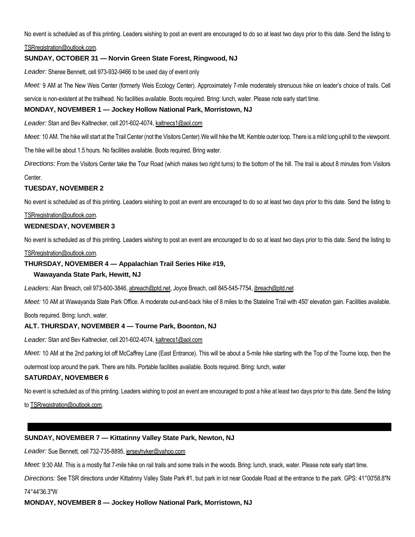No event is scheduled as of this printing. Leaders wishing to post an event are encouraged to do so at least two days prior to this date. Send the listing to

TSRregistration@outlook.com.

# **SUNDAY, OCTOBER 31 — Norvin Green State Forest, Ringwood, NJ**

*Leader:* Sheree Bennett, cell 973-932-9466 to be used day of event only

*Meet:* 9 AM at The New Weis Center (formerly Weis Ecology Center). Approximately 7-mile moderately strenuous hike on leader's choice of trails. Cell

service is non-existent at the trailhead. No facilities available. Boots required. Bring: lunch, water. Please note early start time.

#### **MONDAY, NOVEMBER 1 — Jockey Hollow National Park, Morristown, NJ**

*Leader:* Stan and Bev Kaltnecker, cell 201-602-4074, kaltnecs1@aol.com

*Meet:* 10 AM. The hike will start at the Trail Center (not the Visitors Center).We will hike the Mt. Kemble outer loop. There is a mild long uphill to the viewpoint.

The hike will be about 1.5 hours. No facilities available. Boots required. Bring water.

*Directions:* From the Visitors Center take the Tour Road (which makes two right turns) to the bottom of the hill. The trail is about 8 minutes from Visitors

Center.

#### **TUESDAY, NOVEMBER 2**

No event is scheduled as of this printing. Leaders wishing to post an event are encouraged to do so at least two days prior to this date. Send the listing to

#### TSRregistration@outlook.com.

#### **WEDNESDAY, NOVEMBER 3**

No event is scheduled as of this printing. Leaders wishing to post an event are encouraged to do so at least two days prior to this date. Send the listing to

#### TSRregistration@outlook.com.

#### **THURSDAY, NOVEMBER 4 — Appalachian Trail Series Hike #19,**

#### **Wawayanda State Park, Hewitt, NJ**

*Leaders:* Alan Breach, cell 973-600-3846, abreach@ptd.net, Joyce Breach, cell 845-545-7754, jbreach@ptd.net

*Meet:* 10 AM at Wawayanda State Park Office. A moderate out-and-back hike of 8 miles to the Stateline Trail with 450' elevation gain. Facilities available.

Boots required. Bring: lunch, water.

#### **ALT. THURSDAY, NOVEMBER 4 — Tourne Park, Boonton, NJ**

*Leader:* Stan and Bev Kaltnecker, cell 201-602-4074, kaltnecs1@aol.com

*Meet:* 10 AM at the 2nd parking lot off McCaffrey Lane (East Entrance). This will be about a 5-mile hike starting with the Top of the Tourne loop, then the

outermost loop around the park. There are hills. Portable facilities available. Boots required. Bring: lunch, water

#### **SATURDAY, NOVEMBER 6**

No event is scheduled as of this printing. Leaders wishing to post an event are encouraged to post a hike at least two days prior to this date. Send the listing

to TSRregistration@outlook.com.

# **SUNDAY, NOVEMBER 7 — Kittatinny Valley State Park, Newton, NJ**

*Leader:* Sue Bennett, cell 732-735-8895, jerseyhyker@yahoo.com

*Meet:* 9:30 AM. This is a mostly flat 7-mile hike on rail trails and some trails in the woods. Bring: lunch, snack, water. Please note early start time.

*Directions:* See TSR directions under Kittatinny Valley State Park #1, but park in lot near Goodale Road at the entrance to the park. GPS: 41°00'58.8"N

74°44'36.3"W

**MONDAY, NOVEMBER 8 — Jockey Hollow National Park, Morristown, NJ**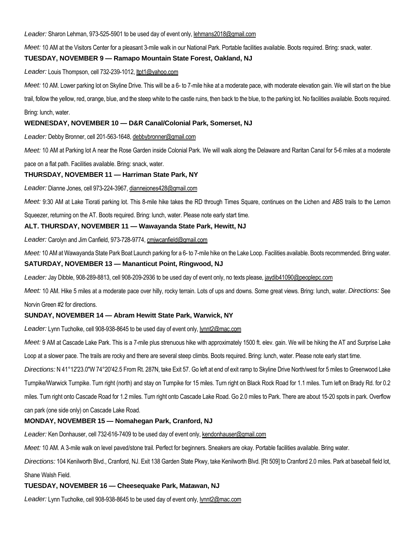Leader: Sharon Lehman, 973-525-5901 to be used day of event only, lehmans2018@gmail.com

*Meet:* 10 AM at the Visitors Center for a pleasant 3-mile walk in our National Park. Portable facilities available. Boots required. Bring: snack, water.

# **TUESDAY, NOVEMBER 9 — Ramapo Mountain State Forest, Oakland, NJ**

*Leader:* Louis Thompson, cell 732-239-1012, ltpt1@yahoo.com

*Meet:* 10 AM. Lower parking lot on Skyline Drive. This will be a 6- to 7-mile hike at a moderate pace, with moderate elevation gain. We will start on the blue

trail, follow the yellow, red, orange, blue, and the steep white to the castle ruins, then back to the blue, to the parking lot. No facilities available. Boots required.

#### Bring: lunch, water.

# **WEDNESDAY, NOVEMBER 10 — D&R Canal/Colonial Park, Somerset, NJ**

*Leader:* Debby Bronner, cell 201-563-1648, debbybronner@gmail.com

*Meet:* 10 AM at Parking lot A near the Rose Garden inside Colonial Park. We will walk along the Delaware and Raritan Canal for 5-6 miles at a moderate

pace on a flat path. Facilities available. Bring: snack, water.

# **THURSDAY, NOVEMBER 11 — Harriman State Park, NY**

*Leader:* Dianne Jones, cell 973-224-3967, diannejones428@gmail.com

*Meet:* 9:30 AM at Lake Tiorati parking lot. This 8-mile hike takes the RD through Times Square, continues on the Lichen and ABS trails to the Lemon

Squeezer, returning on the AT. Boots required. Bring: lunch, water. Please note early start time.

# **ALT. THURSDAY, NOVEMBER 11 — Wawayanda State Park, Hewitt, NJ**

*Leader:* Carolyn and Jim Canfield, 973-728-9774, cmjwcanfield@gmail.com

*Meet:* 10 AM at Wawayanda State Park Boat Launch parking for a 6- to 7-mile hike on the Lake Loop. Facilities available. Boots recommended. Bring water.

#### **SATURDAY, NOVEMBER 13 — Mananticut Point, Ringwood, NJ**

*Leader:* Jay Dibble, 908-289-8813, cell 908-209-2936 to be used day of event only, no texts please, jaydib41090@peoplepc.com

*Meet:* 10 AM. Hike 5 miles at a moderate pace over hilly, rocky terrain. Lots of ups and downs. Some great views. Bring: lunch, water. *Directions:* See Norvin Green #2 for directions.

# **SUNDAY, NOVEMBER 14 — Abram Hewitt State Park, Warwick, NY**

*Leader:* Lynn Tucholke, cell 908-938-8645 to be used day of event only, lynnt2@mac.com

*Meet:* 9 AM at Cascade Lake Park. This is a 7-mile plus strenuous hike with approximately 1500 ft. elev. gain. We will be hiking the AT and Surprise Lake

Loop at a slower pace. The trails are rocky and there are several steep climbs. Boots required. Bring: lunch, water. Please note early start time.

*Directions:* N 41°12'23.0"W 74°20'42.5 From Rt. 287N, take Exit 57. Go left at end of exit ramp to Skyline Drive North/west for 5 miles to Greenwood Lake Turnpike/Warwick Turnpike. Turn right (north) and stay on Turnpike for 15 miles. Turn right on Black Rock Road for 1.1 miles. Turn left on Brady Rd. for 0.2 miles. Turn right onto Cascade Road for 1.2 miles. Turn right onto Cascade Lake Road. Go 2.0 miles to Park. There are about 15-20 spots in park. Overflow can park (one side only) on Cascade Lake Road.

# **MONDAY, NOVEMBER 15 — Nomahegan Park, Cranford, NJ**

*Leader:* Ken Donhauser, cell 732-616-7409 to be used day of event only, kendonhauser@gmail.com

*Meet:* 10 AM. A 3-mile walk on level paved/stone trail. Perfect for beginners. Sneakers are okay. Portable facilities available. Bring water.

*Directions:* 104 Kenilworth Blvd., Cranford, NJ. Exit 138 Garden State Pkwy, take Kenilworth Blvd. [Rt 509] to Cranford 2.0 miles. Park at baseball field lot, Shane Walsh Field.

#### **TUESDAY, NOVEMBER 16 — Cheesequake Park, Matawan, NJ**

*Leader:* Lynn Tucholke, cell 908-938-8645 to be used day of event only, lynnt2@mac.com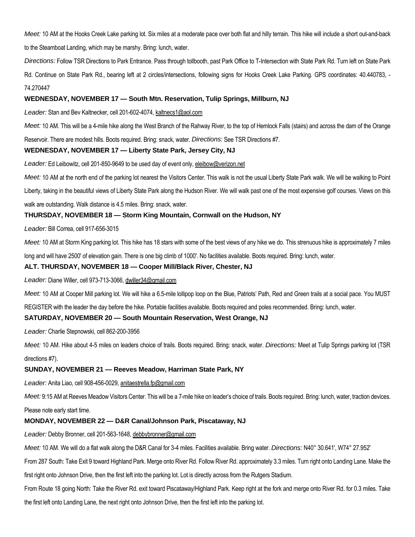*Meet:* 10 AM at the Hooks Creek Lake parking lot. Six miles at a moderate pace over both flat and hilly terrain. This hike will include a short out-and-back to the Steamboat Landing, which may be marshy. Bring: lunch, water.

*Directions:* Follow TSR Directions to Park Entrance. Pass through tollbooth, past Park Office to T-Intersection with State Park Rd. Turn left on State Park Rd. Continue on State Park Rd., bearing left at 2 circles/intersections, following signs for Hooks Creek Lake Parking. GPS coordinates: 40.440783, -74.270447

#### **WEDNESDAY, NOVEMBER 17 — South Mtn. Reservation, Tulip Springs, Millburn, NJ**

*Leader:* Stan and Bev Kaltnecker, cell 201-602-4074, kaltnecs1@aol.com

*Meet:* 10 AM. This will be a 4-mile hike along the West Branch of the Rahway River, to the top of Hemlock Falls (stairs) and across the dam of the Orange

Reservoir. There are modest hills. Boots required. Bring: snack, water. *Directions:* See TSR Directions #7.

#### **WEDNESDAY, NOVEMBER 17 — Liberty State Park, Jersey City, NJ**

Leader: Ed Leibowitz, cell 201-850-9649 to be used day of event only, eleibow@verizon.net

*Meet:* 10 AM at the north end of the parking lot nearest the Visitors Center. This walk is not the usual Liberty State Park walk. We will be walking to Point

Liberty, taking in the beautiful views of Liberty State Park along the Hudson River. We will walk past one of the most expensive golf courses. Views on this

walk are outstanding. Walk distance is 4.5 miles. Bring: snack, water.

#### **THURSDAY, NOVEMBER 18 — Storm King Mountain, Cornwall on the Hudson, NY**

*Leader:* Bill Correa, cell 917-656-3015

Meet: 10 AM at Storm King parking lot. This hike has 18 stars with some of the best views of any hike we do. This strenuous hike is approximately 7 miles

long and will have 2500' of elevation gain. There is one big climb of 1000'. No facilities available. Boots required. Bring: lunch, water.

#### **ALT. THURSDAY, NOVEMBER 18 — Cooper Mill/Black River, Chester, NJ**

*Leader:* Diane Willer, cell 973-713-3066, dwiller34@gmail.com

*Meet:* 10 AM at Cooper Mill parking lot. We will hike a 6.5-mile lollipop loop on the Blue, Patriots' Path, Red and Green trails at a social pace. You MUST

REGISTER with the leader the day before the hike. Portable facilities available. Boots required and poles recommended. Bring: lunch, water.

#### **SATURDAY, NOVEMBER 20 — South Mountain Reservation, West Orange, NJ**

*Leader:* Charlie Stepnowski, cell 862-200-3956

*Meet:* 10 AM. Hike about 4-5 miles on leaders choice of trails. Boots required. Bring: snack, water. *Directions:* Meet at Tulip Springs parking lot (TSR directions #7).

#### **SUNDAY, NOVEMBER 21 — Reeves Meadow, Harriman State Park, NY**

*Leader:* Anita Liao, cell 908-456-0029, anitaestrella.fp@gmail.com

Meet: 9:15 AM at Reeves Meadow Visitors Center. This will be a 7-mile hike on leader's choice of trails. Boots required. Bring: lunch, water, traction devices.

Please note early start time.

#### **MONDAY, NOVEMBER 22 — D&R Canal/Johnson Park, Piscataway, NJ**

*Leader:* Debby Bronner, cell 201-563-1648, debbybronner@gmail.com

*Meet:* 10 AM. We will do a flat walk along the D&R Canal for 3-4 miles. Facilities available. Bring water. *Directions:* N40° 30.641', W74° 27.952'

From 287 South: Take Exit 9 toward Highland Park. Merge onto River Rd. Follow River Rd. approximately 3.3 miles. Turn right onto Landing Lane. Make the

first right onto Johnson Drive, then the first left into the parking lot. Lot is directly across from the Rutgers Stadium.

From Route 18 going North: Take the River Rd. exit toward Piscataway/Highland Park. Keep right at the fork and merge onto River Rd. for 0.3 miles. Take the first left onto Landing Lane, the next right onto Johnson Drive, then the first left into the parking lot.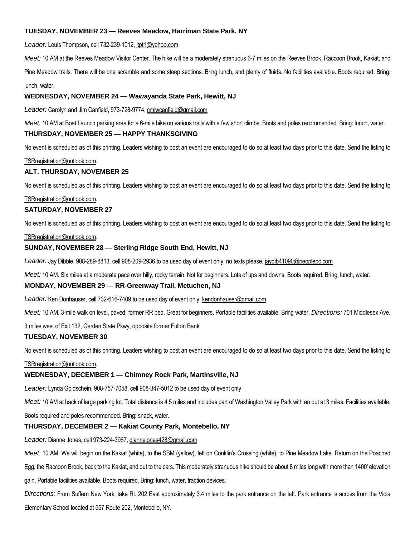# **TUESDAY, NOVEMBER 23 — Reeves Meadow, Harriman State Park, NY**

*Leader:* Louis Thompson, cell 732-239-1012, ltpt1@yahoo.com

*Meet:* 10 AM at the Reeves Meadow Visitor Center. The hike will be a moderately strenuous 6-7 miles on the Reeves Brook, Raccoon Brook, Kakiat, and

Pine Meadow trails. There will be one scramble and some steep sections. Bring lunch, and plenty of fluids. No facilities available. Boots required. Bring: lunch, water.

# **WEDNESDAY, NOVEMBER 24 — Wawayanda State Park, Hewitt, NJ**

*Leader:* Carolyn and Jim Canfield, 973-728-9774, cmjwcanfield@gmail.com

*Meet:* 10 AM at Boat Launch parking area for a 6-mile hike on various trails with a few short climbs. Boots and poles recommended. Bring: lunch, water.

# **THURSDAY, NOVEMBER 25 — HAPPY THANKSGIVING**

No event is scheduled as of this printing. Leaders wishing to post an event are encouraged to do so at least two days prior to this date. Send the listing to

#### TSRregistration@outlook.com.

#### **ALT. THURSDAY, NOVEMBER 25**

No event is scheduled as of this printing. Leaders wishing to post an event are encouraged to do so at least two days prior to this date. Send the listing to

#### TSRregistration@outlook.com.

#### **SATURDAY, NOVEMBER 27**

No event is scheduled as of this printing. Leaders wishing to post an event are encouraged to do so at least two days prior to this date. Send the listing to

#### TSRregistration@outlook.com.

# **SUNDAY, NOVEMBER 28 — Sterling Ridge South End, Hewitt, NJ**

*Leader:* Jay Dibble, 908-289-8813, cell 908-209-2936 to be used day of event only, no texts please, jaydib41090@peoplepc.com

*Meet:* 10 AM. Six miles at a moderate pace over hilly, rocky terrain. Not for beginners. Lots of ups and downs. Boots required. Bring: lunch, water.

#### **MONDAY, NOVEMBER 29 — RR-Greenway Trail, Metuchen, NJ**

*Leader:* Ken Donhauser, cell 732-616-7409 to be used day of event only, kendonhauser@gmail.com

*Meet:* 10 AM. 3-mile walk on level, paved, former RR bed. Great for beginners. Portable facilities available. Bring water. *Directions:* 701 Middlesex Ave,

3 miles west of Exit 132, Garden State Pkwy, opposite former Fulton Bank

#### **TUESDAY, NOVEMBER 30**

No event is scheduled as of this printing. Leaders wishing to post an event are encouraged to do so at least two days prior to this date. Send the listing to

#### TSRregistration@outlook.com.

#### **WEDNESDAY, DECEMBER 1 — Chimney Rock Park, Martinsville, NJ**

*Leader:* Lynda Goldschein, 908-757-7058, cell 908-347-5012 to be used day of event only

*Meet:* 10 AM at back of large parking lot. Total distance is 4.5 miles and includes part of Washington Valley Park with an out at 3 miles. Facilities available.

Boots required and poles recommended. Bring: snack, water.

#### **THURSDAY, DECEMBER 2 — Kakiat County Park, Montebello, NY**

#### *Leader:* Dianne Jones, cell 973-224-3967, diannejones428@gmail.com

*Meet:* 10 AM. We will begin on the Kakiat (white), to the SBM (yellow), left on Conklin's Crossing (white), to Pine Meadow Lake. Return on the Poached

Egg, the Raccoon Brook, back to the Kakiat, and out to the cars. This moderately strenuous hike should be about 8 miles long with more than 1400' elevation

gain. Portable facilities available. Boots required. Bring: lunch, water, traction devices.

*Directions:* From Suffern New York, take Rt. 202 East approximately 3.4 miles to the park entrance on the left. Park entrance is across from the Viola

Elementary School located at 557 Route 202, Montebello, NY.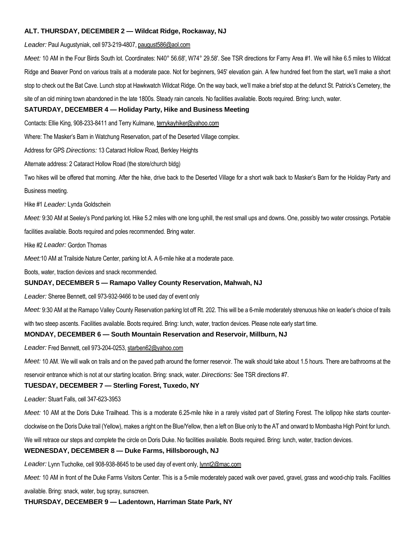# **ALT. THURSDAY, DECEMBER 2 — Wildcat Ridge, Rockaway, NJ**

*Leader:* Paul Augustyniak, cell 973-219-4807, paugust586@aol.com

*Meet:* 10 AM in the Four Birds South lot. Coordinates: N40° 56.68', W74° 29.58'. See TSR directions for Farny Area #1. We will hike 6.5 miles to Wildcat Ridge and Beaver Pond on various trails at a moderate pace. Not for beginners, 945' elevation gain. A few hundred feet from the start, we'll make a short stop to check out the Bat Cave. Lunch stop at Hawkwatch Wildcat Ridge. On the way back, we'll make a brief stop at the defunct St. Patrick's Cemetery, the site of an old mining town abandoned in the late 1800s. Steady rain cancels. No facilities available. Boots required. Bring: lunch, water.

#### **SATURDAY, DECEMBER 4 — Holiday Party, Hike and Business Meeting**

Contacts: Ellie King, 908-233-8411 and Terry Kulmane, terrykayhiker@yahoo.com

Where: The Masker's Barn in Watchung Reservation, part of the Deserted Village complex.

Address for GPS *Directions:* 13 Cataract Hollow Road, Berkley Heights

Alternate address: 2 Cataract Hollow Road (the store/church bldg)

Two hikes will be offered that morning. After the hike, drive back to the Deserted Village for a short walk back to Masker's Barn for the Holiday Party and

Business meeting.

Hike #1 *Leader:* Lynda Goldschein

*Meet:* 9:30 AM at Seeley's Pond parking lot. Hike 5.2 miles with one long uphill, the rest small ups and downs. One, possibly two water crossings. Portable facilities available. Boots required and poles recommended. Bring water.

Hike #2 *Leader:* Gordon Thomas

*Meet:*10 AM at Trailside Nature Center, parking lot A. A 6-mile hike at a moderate pace.

Boots, water, traction devices and snack recommended.

#### **SUNDAY, DECEMBER 5 — Ramapo Valley County Reservation, Mahwah, NJ**

*Leader:* Sheree Bennett, cell 973-932-9466 to be used day of event only

Meet: 9:30 AM at the Ramapo Valley County Reservation parking lot off Rt. 202. This will be a 6-mile moderately strenuous hike on leader's choice of trails

with two steep ascents. Facilities available. Boots required. Bring: lunch, water, traction devices. Please note early start time.

#### **MONDAY, DECEMBER 6 — South Mountain Reservation and Reservoir, Millburn, NJ**

*Leader:* Fred Bennett, cell 973-204-0253, starben62@yahoo.com

*Meet:* 10 AM. We will walk on trails and on the paved path around the former reservoir. The walk should take about 1.5 hours. There are bathrooms at the

reservoir entrance which is not at our starting location. Bring: snack, water. *Directions:* See TSR directions #7.

#### **TUESDAY, DECEMBER 7 — Sterling Forest, Tuxedo, NY**

*Leader:* Stuart Falls, cell 347-623-3953

*Meet:* 10 AM at the Doris Duke Trailhead. This is a moderate 6.25-mile hike in a rarely visited part of Sterling Forest. The lollipop hike starts counter-

clockwise on the Doris Duke trail (Yellow), makes a right on the Blue/Yellow, then a left on Blue only to the AT and onward to Mombasha High Point for lunch.

We will retrace our steps and complete the circle on Doris Duke. No facilities available. Boots required. Bring: lunch, water, traction devices.

#### **WEDNESDAY, DECEMBER 8 — Duke Farms, Hillsborough, NJ**

*Leader:* Lynn Tucholke, cell 908-938-8645 to be used day of event only, lynnt2@mac.com

*Meet:* 10 AM in front of the Duke Farms Visitors Center. This is a 5-mile moderately paced walk over paved, gravel, grass and wood-chip trails. Facilities

available. Bring: snack, water, bug spray, sunscreen.

**THURSDAY, DECEMBER 9 — Ladentown, Harriman State Park, NY**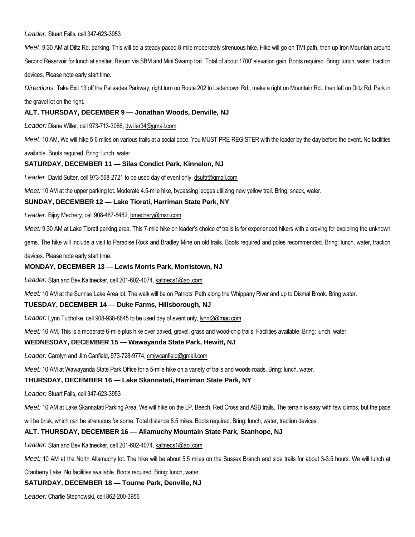#### *Leader:* Stuart Falls, cell 347-623-3953

*Meet:* 9:30 AM at Diltz Rd. parking. This will be a steady paced 8-mile moderately strenuous hike. Hike will go on TMI path, then up Iron Mountain around Second Reservoir for lunch at shelter. Return via SBM and Mini Swamp trail. Total of about 1700' elevation gain. Boots required. Bring: lunch, water, traction devices. Please note early start time.

*Directions:* Take Exit 13 off the Palisades Parkway, right turn on Route 202 to Ladentown Rd., make a right on Mountain Rd., then left on Diltz Rd. Park in

#### the gravel lot on the right.

# **ALT. THURSDAY, DECEMBER 9 — Jonathan Woods, Denville, NJ**

*Leader:* Diane Willer, cell 973-713-3066, dwiller34@gmail.com

*Meet:* 10 AM. We will hike 5-6 miles on various trails at a social pace. You MUST PRE-REGISTER with the leader by the day before the event. No facilities

available. Boots required. Bring: lunch, water.

# **SATURDAY, DECEMBER 11 — Silas Condict Park, Kinnelon, NJ**

*Leader:* David Sutter, cell 973-568-2721 to be used day of event only, dsuttr@gmail.com

*Meet:* 10 AM at the upper parking lot. Moderate 4.5-mile hike, bypassing ledges utilizing new yellow trail. Bring: snack, water.

#### **SUNDAY, DECEMBER 12 — Lake Tiorati, Harriman State Park, NY**

*Leader:* Bijoy Mechery, cell 908-487-8482, bmechery@msn.com

*Meet:* 9:30 AM at Lake Tiorati parking area. This 7-mile hike on leader's choice of trails is for experienced hikers with a craving for exploring the unknown

gems. The hike will include a visit to Paradise Rock and Bradley Mine on old trails. Boots required and poles recommended. Bring: lunch, water, traction

devices. Please note early start time.

#### **MONDAY, DECEMBER 13 — Lewis Morris Park, Morristown, NJ**

*Leader:* Stan and Bev Kaltnecker, cell 201-602-4074, kaltnecs1@aol.com

*Meet:* 10 AM at the Sunrise Lake Area lot. The walk will be on Patriots' Path along the Whippany River and up to Dismal Brook. Bring water.

#### **TUESDAY, DECEMBER 14 — Duke Farms, Hillsborough, NJ**

*Leader:* Lynn Tucholke, cell 908-938-8645 to be used day of event only, lynnt2@mac.com

*Meet:* 10 AM. This is a moderate 6-mile plus hike over paved, gravel, grass and wood-chip trails. Facilities available. Bring: lunch, water.

#### **WEDNESDAY, DECEMBER 15 — Wawayanda State Park, Hewitt, NJ**

*Leader:* Carolyn and Jim Canfield, 973-728-9774, cmjwcanfield@gmail.com

*Meet:* 10 AM at Wawayanda State Park Office for a 5-mile hike on a variety of trails and woods roads. Bring: lunch, water.

#### **THURSDAY, DECEMBER 16 — Lake Skannatati, Harriman State Park, NY**

*Leader:* Stuart Falls, cell 347-623-3953

*Meet:* 10 AM at Lake Skannatati Parking Area. We will hike on the LP, Beech, Red Cross and ASB trails. The terrain is easy with few climbs, but the pace

will be brisk, which can be strenuous for some. Total distance 8.5 miles. Boots required. Bring: lunch, water, traction devices.

#### **ALT. THURSDAY, DECEMBER 16 — Allamuchy Mountain State Park, Stanhope, NJ**

*Leader:* Stan and Bev Kaltnecker, cell 201-602-4074, kaltnecs1@aol.com

*Meet:* 10 AM at the North Allamuchy lot. The hike will be about 5.5 miles on the Sussex Branch and side trails for about 3-3.5 hours. We will lunch at

Cranberry Lake. No facilities available. Boots required. Bring: lunch, water.

#### **SATURDAY, DECEMBER 18 — Tourne Park, Denville, NJ**

*Leader:* Charlie Stepnowski, cell 862-200-3956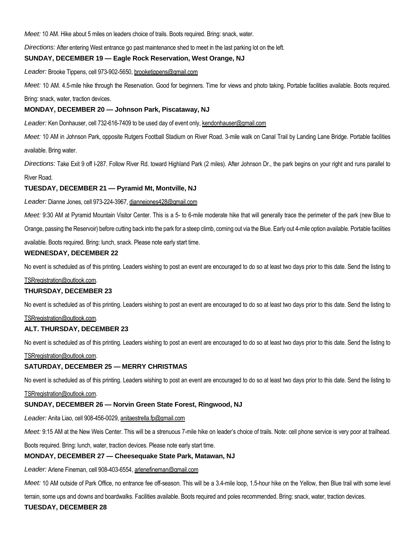*Meet:* 10 AM. Hike about 5 miles on leaders choice of trails. Boots required. Bring: snack, water.

*Directions:* After entering West entrance go past maintenance shed to meet in the last parking lot on the left.

# **SUNDAY, DECEMBER 19 — Eagle Rock Reservation, West Orange, NJ**

*Leader:* Brooke Tippens, cell 973-902-5650, brooketippens@gmail.com

*Meet:* 10 AM. 4.5-mile hike through the Reservation. Good for beginners. Time for views and photo taking. Portable facilities available. Boots required.

Bring: snack, water, traction devices.

#### **MONDAY, DECEMBER 20 — Johnson Park, Piscataway, NJ**

Leader: Ken Donhauser, cell 732-616-7409 to be used day of event only, kendonhauser@gmail.com

*Meet:* 10 AM in Johnson Park, opposite Rutgers Football Stadium on River Road. 3-mile walk on Canal Trail by Landing Lane Bridge. Portable facilities available. Bring water.

*Directions:* Take Exit 9 off I-287. Follow River Rd. toward Highland Park (2 miles). After Johnson Dr., the park begins on your right and runs parallel to

#### River Road.

# **TUESDAY, DECEMBER 21 — Pyramid Mt, Montville, NJ**

*Leader:* Dianne Jones, cell 973-224-3967, diannejones428@gmail.com

*Meet:* 9:30 AM at Pyramid Mountain Visitor Center. This is a 5- to 6-mile moderate hike that will generally trace the perimeter of the park (new Blue to

Orange, passing the Reservoir) before cutting back into the park for a steep climb, coming out via the Blue. Early out 4-mile option available. Portable facilities

available. Boots required. Bring: lunch, snack. Please note early start time.

#### **WEDNESDAY, DECEMBER 22**

No event is scheduled as of this printing. Leaders wishing to post an event are encouraged to do so at least two days prior to this date. Send the listing to

#### TSRregistration@outlook.com.

#### **THURSDAY, DECEMBER 23**

No event is scheduled as of this printing. Leaders wishing to post an event are encouraged to do so at least two days prior to this date. Send the listing to

#### TSRregistration@outlook.com.

#### **ALT. THURSDAY, DECEMBER 23**

No event is scheduled as of this printing. Leaders wishing to post an event are encouraged to do so at least two days prior to this date. Send the listing to

#### TSRregistration@outlook.com.

#### **SATURDAY, DECEMBER 25 — MERRY CHRISTMAS**

No event is scheduled as of this printing. Leaders wishing to post an event are encouraged to do so at least two days prior to this date. Send the listing to

#### TSRregistration@outlook.com.

#### **SUNDAY, DECEMBER 26 — Norvin Green State Forest, Ringwood, NJ**

*Leader:* Anita Liao, cell 908-456-0029, anitaestrella.fp@gmail.com

Meet: 9:15 AM at the New Weis Center. This will be a strenuous 7-mile hike on leader's choice of trails. Note: cell phone service is very poor at trailhead.

Boots required. Bring: lunch, water, traction devices. Please note early start time.

#### **MONDAY, DECEMBER 27 — Cheesequake State Park, Matawan, NJ**

*Leader:* Arlene Fineman, cell 908-403-6554, arlenefineman@gmail.com

*Meet:* 10 AM outside of Park Office, no entrance fee off-season. This will be a 3.4-mile loop, 1.5-hour hike on the Yellow, then Blue trail with some level

terrain, some ups and downs and boardwalks. Facilities available. Boots required and poles recommended. Bring: snack, water, traction devices.

# **TUESDAY, DECEMBER 28**